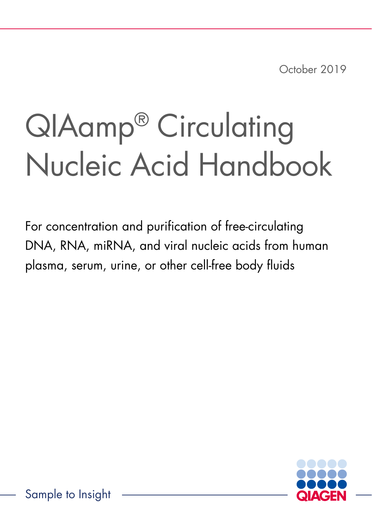October 2019

## QIAamp® Circulating Nucleic Acid Handbook

For concentration and purification of free-circulating DNA, RNA, miRNA, and viral nucleic acids from human plasma, serum, urine, or other cell-free body fluids



Sample to Insight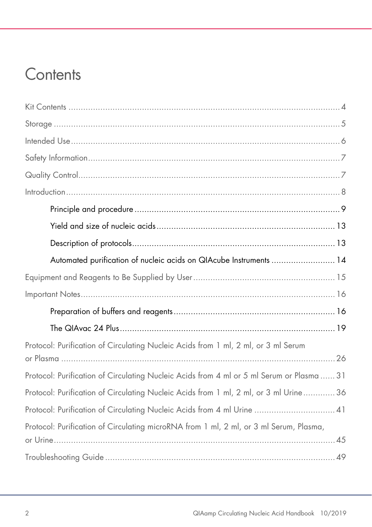### **Contents**

| Automated purification of nucleic acids on QIAcube Instruments  14                        |
|-------------------------------------------------------------------------------------------|
|                                                                                           |
|                                                                                           |
|                                                                                           |
|                                                                                           |
| Protocol: Purification of Circulating Nucleic Acids from 1 ml, 2 ml, or 3 ml Serum        |
| Protocol: Purification of Circulating Nucleic Acids from 4 ml or 5 ml Serum or Plasma  31 |
| Protocol: Purification of Circulating Nucleic Acids from 1 ml, 2 ml, or 3 ml Urine 36     |
| Protocol: Purification of Circulating Nucleic Acids from 4 ml Urine  41                   |
| Protocol: Purification of Circulating microRNA from 1 ml, 2 ml, or 3 ml Serum, Plasma,    |
|                                                                                           |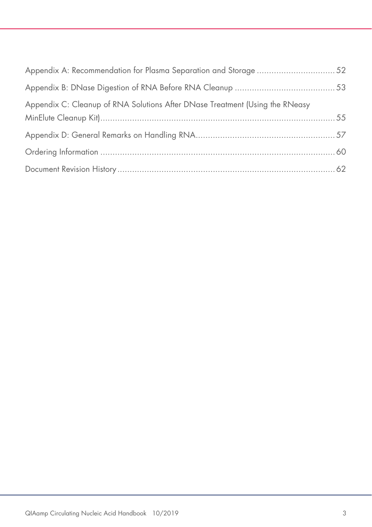| Appendix A: Recommendation for Plasma Separation and Storage 52              |  |
|------------------------------------------------------------------------------|--|
|                                                                              |  |
| Appendix C: Cleanup of RNA Solutions After DNase Treatment (Using the RNeasy |  |
|                                                                              |  |
|                                                                              |  |
|                                                                              |  |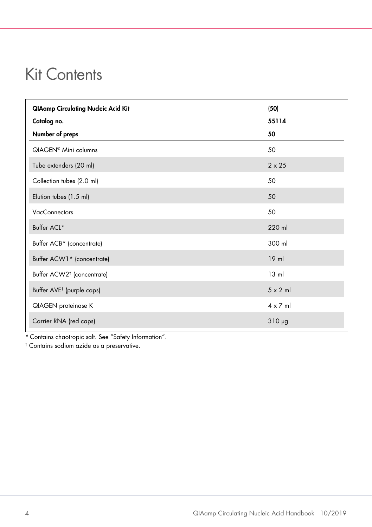### <span id="page-3-0"></span>Kit Contents

| <b>QIAamp Circulating Nucleic Acid Kit</b> | (50)            |
|--------------------------------------------|-----------------|
| Catalog no.                                | 55114           |
| Number of preps                            | 50              |
| QIAGEN <sup>®</sup> Mini columns           | 50              |
| Tube extenders (20 ml)                     | $2 \times 25$   |
| Collection tubes (2.0 ml)                  | 50              |
| Elution tubes (1.5 ml)                     | 50              |
| <b>VacConnectors</b>                       | 50              |
| Buffer ACL*                                | 220 ml          |
| Buffer ACB* (concentrate)                  | 300 ml          |
| Buffer ACW1* (concentrate)                 | $19$ ml         |
| Buffer ACW2 <sup>†</sup> (concentrate)     | $13 \text{ ml}$ |
| Buffer AVE <sup>†</sup> (purple caps)      | $5 \times 2$ ml |
| <b>QIAGEN</b> proteinase K                 | $4 \times 7$ ml |
| Carrier RNA (red caps)                     | $310 \mu g$     |

\* Contains chaotropic salt. See ["Safety Information"](#page-6-0).

† Contains sodium azide as a preservative.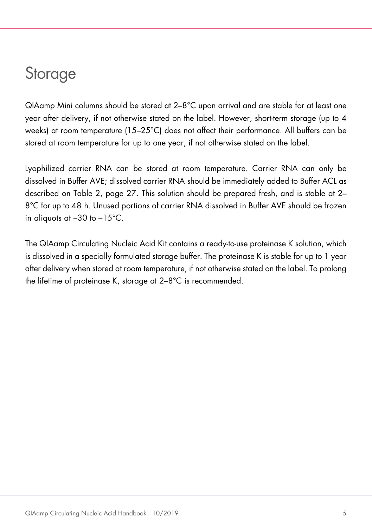### <span id="page-4-0"></span>**Storage**

QIAamp Mini columns should be stored at 2–8°C upon arrival and are stable for at least one year after delivery, if not otherwise stated on the label. However, short-term storage (up to 4 weeks) at room temperature (15–25°C) does not affect their performance. All buffers can be stored at room temperature for up to one year, if not otherwise stated on the label.

Lyophilized carrier RNA can be stored at room temperature. Carrier RNA can only be dissolved in Buffer AVE; dissolved carrier RNA should be immediately added to Buffer ACL as described on Table 2, page [27.](#page-26-0) This solution should be prepared fresh, and is stable at 2– 8°C for up to 48 h. Unused portions of carrier RNA dissolved in Buffer AVE should be frozen in aliquots at –30 to –15°C.

The QIAamp Circulating Nucleic Acid Kit contains a ready-to-use proteinase K solution, which is dissolved in a specially formulated storage buffer. The proteinase K is stable for up to 1 year after delivery when stored at room temperature, if not otherwise stated on the label. To prolong the lifetime of proteinase K, storage at 2–8°C is recommended.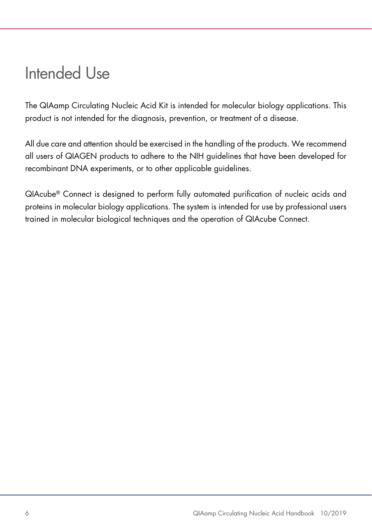### <span id="page-5-0"></span>Intended Use

The QIAamp Circulating Nucleic Acid Kit is intended for molecular biology applications. This product is not intended for the diagnosis, prevention, or treatment of a disease.

All due care and attention should be exercised in the handling of the products. We recommend all users of QIAGEN products to adhere to the NIH guidelines that have been developed for recombinant DNA experiments, or to other applicable guidelines.

<span id="page-5-1"></span>QIAcube® Connect is designed to perform fully automated purification of nucleic acids and proteins in molecular biology applications. The system is intended for use by professional users trained in molecular biological techniques and the operation of QIAcube Connect.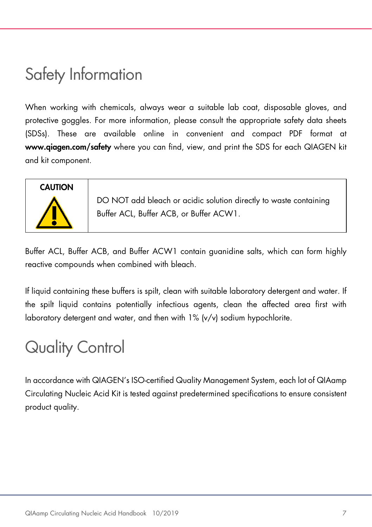### <span id="page-6-0"></span>Safety Information

When working with chemicals, always wear a suitable lab coat, disposable gloves, and protective goggles. For more information, please consult the appropriate safety data sheets (SDSs). These are available online in convenient and compact PDF format at www.qiagen.com/safety where you can find, view, and print the SDS for each QIAGEN kit and kit component.

# **CAUTION**

DO NOT add bleach or acidic solution directly to waste containing Buffer ACL, Buffer ACB, or Buffer ACW1.

Buffer ACL, Buffer ACB, and Buffer ACW1 contain guanidine salts, which can form highly reactive compounds when combined with bleach.

If liquid containing these buffers is spilt, clean with suitable laboratory detergent and water. If the spilt liquid contains potentially infectious agents, clean the affected area first with laboratory detergent and water, and then with 1% (v/v) sodium hypochlorite.

### <span id="page-6-1"></span>Quality Control

In accordance with QIAGEN's ISO-certified Quality Management System, each lot of QIAamp Circulating Nucleic Acid Kit is tested against predetermined specifications to ensure consistent product quality.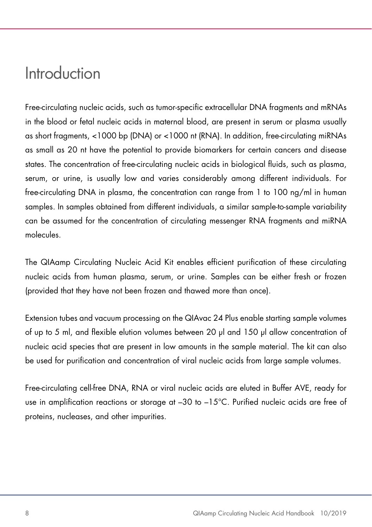### <span id="page-7-0"></span>Introduction

Free-circulating nucleic acids, such as tumor-specific extracellular DNA fragments and mRNAs in the blood or fetal nucleic acids in maternal blood, are present in serum or plasma usually as short fragments, <1000 bp (DNA) or <1000 nt (RNA). In addition, free-circulating miRNAs as small as 20 nt have the potential to provide biomarkers for certain cancers and disease states. The concentration of free-circulating nucleic acids in biological fluids, such as plasma, serum, or urine, is usually low and varies considerably among different individuals. For free-circulating DNA in plasma, the concentration can range from 1 to 100 ng/ml in human samples. In samples obtained from different individuals, a similar sample-to-sample variability can be assumed for the concentration of circulating messenger RNA fragments and miRNA molecules.

The QIAamp Circulating Nucleic Acid Kit enables efficient purification of these circulating nucleic acids from human plasma, serum, or urine. Samples can be either fresh or frozen (provided that they have not been frozen and thawed more than once).

Extension tubes and vacuum processing on the QIAvac 24 Plus enable starting sample volumes of up to 5 ml, and flexible elution volumes between 20 µl and 150 µl allow concentration of nucleic acid species that are present in low amounts in the sample material. The kit can also be used for purification and concentration of viral nucleic acids from large sample volumes.

Free-circulating cell-free DNA, RNA or viral nucleic acids are eluted in Buffer AVE, ready for use in amplification reactions or storage at  $-30$  to  $-15^{\circ}$ C. Purified nucleic acids are free of proteins, nucleases, and other impurities.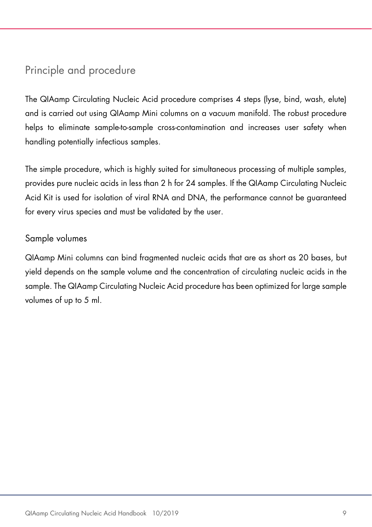#### <span id="page-8-0"></span>Principle and procedure

The QIAamp Circulating Nucleic Acid procedure comprises 4 steps (lyse, bind, wash, elute) and is carried out using QIAamp Mini columns on a vacuum manifold. The robust procedure helps to eliminate sample-to-sample cross-contamination and increases user safety when handling potentially infectious samples.

The simple procedure, which is highly suited for simultaneous processing of multiple samples, provides pure nucleic acids in less than 2 h for 24 samples. If the QIAamp Circulating Nucleic Acid Kit is used for isolation of viral RNA and DNA, the performance cannot be guaranteed for every virus species and must be validated by the user.

#### Sample volumes

QIAamp Mini columns can bind fragmented nucleic acids that are as short as 20 bases, but yield depends on the sample volume and the concentration of circulating nucleic acids in the sample. The QIAamp Circulating Nucleic Acid procedure has been optimized for large sample volumes of up to 5 ml.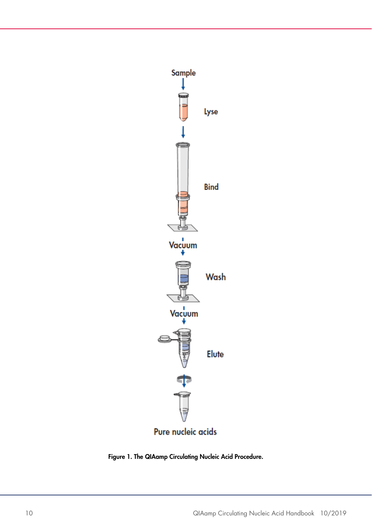

Figure 1. The QIAamp Circulating Nucleic Acid Procedure.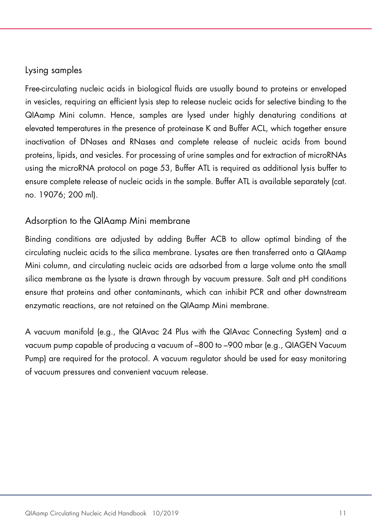#### Lysing samples

Free-circulating nucleic acids in biological fluids are usually bound to proteins or enveloped in vesicles, requiring an efficient lysis step to release nucleic acids for selective binding to the QIAamp Mini column. Hence, samples are lysed under highly denaturing conditions at elevated temperatures in the presence of proteinase K and Buffer ACL, which together ensure inactivation of DNases and RNases and complete release of nucleic acids from bound proteins, lipids, and vesicles. For processing of urine samples and for extraction of microRNAs using the microRNA protocol on page [53,](#page-52-0) Buffer ATL is required as additional lysis buffer to ensure complete release of nucleic acids in the sample. Buffer ATL is available separately (cat. no. 19076; 200 ml).

#### Adsorption to the QIAamp Mini membrane

Binding conditions are adjusted by adding Buffer ACB to allow optimal binding of the circulating nucleic acids to the silica membrane. Lysates are then transferred onto a QIAamp Mini column, and circulating nucleic acids are adsorbed from a large volume onto the small silica membrane as the lysate is drawn through by vacuum pressure. Salt and pH conditions ensure that proteins and other contaminants, which can inhibit PCR and other downstream enzymatic reactions, are not retained on the QIAamp Mini membrane.

A vacuum manifold (e.g., the QIAvac 24 Plus with the QIAvac Connecting System) and a vacuum pump capable of producing a vacuum of –800 to –900 mbar (e.g., QIAGEN Vacuum Pump) are required for the protocol. A vacuum regulator should be used for easy monitoring of vacuum pressures and convenient vacuum release.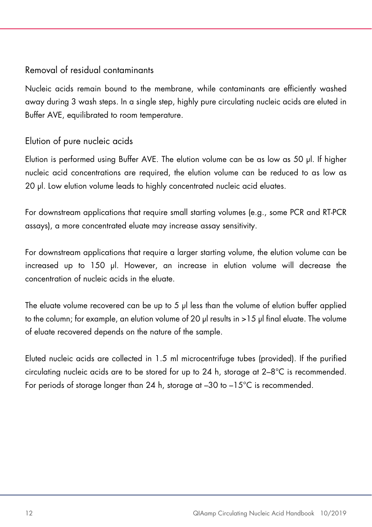#### Removal of residual contaminants

Nucleic acids remain bound to the membrane, while contaminants are efficiently washed away during 3 wash steps. In a single step, highly pure circulating nucleic acids are eluted in Buffer AVE, equilibrated to room temperature.

#### Elution of pure nucleic acids

Elution is performed using Buffer AVE. The elution volume can be as low as 50 µl. If higher nucleic acid concentrations are required, the elution volume can be reduced to as low as 20 µl. Low elution volume leads to highly concentrated nucleic acid eluates.

For downstream applications that require small starting volumes (e.g., some PCR and RT-PCR assays), a more concentrated eluate may increase assay sensitivity.

For downstream applications that require a larger starting volume, the elution volume can be increased up to 150 µl. However, an increase in elution volume will decrease the concentration of nucleic acids in the eluate.

The eluate volume recovered can be up to 5 µl less than the volume of elution buffer applied to the column; for example, an elution volume of 20 µl results in >15 µl final eluate. The volume of eluate recovered depends on the nature of the sample.

Eluted nucleic acids are collected in 1.5 ml microcentrifuge tubes (provided). If the purified circulating nucleic acids are to be stored for up to 24 h, storage at 2–8°C is recommended. For periods of storage longer than 24 h, storage at –30 to –15°C is recommended.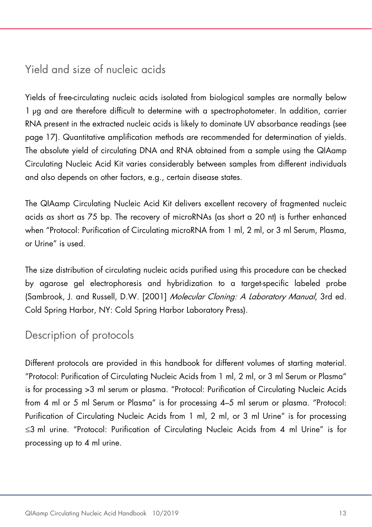#### <span id="page-12-0"></span>Yield and size of nucleic acids

Yields of free-circulating nucleic acids isolated from biological samples are normally below 1 µg and are therefore difficult to determine with a spectrophotometer. In addition, carrier RNA present in the extracted nucleic acids is likely to dominate UV absorbance readings (see page [17\)](#page-15-2). Quantitative amplification methods are recommended for determination of yields. The absolute yield of circulating DNA and RNA obtained from a sample using the QIAamp Circulating Nucleic Acid Kit varies considerably between samples from different individuals and also depends on other factors, e.g., certain disease states.

The QIAamp Circulating Nucleic Acid Kit delivers excellent recovery of fragmented nucleic acids as short as 75 bp. The recovery of microRNAs (as short a 20 nt) is further enhanced when ["Protocol: Purification of Circulating microRNA from 1 ml, 2 ml, or](#page-44-0) 3 ml Serum, Plasma, or [Urine"](#page-44-0) is used.

The size distribution of circulating nucleic acids purified using this procedure can be checked by agarose gel electrophoresis and hybridization to a target-specific labeled probe (Sambrook, J. and Russell, D.W. [2001] Molecular Cloning: A Laboratory Manual, 3rd ed. Cold Spring Harbor, NY: Cold Spring Harbor Laboratory Press).

#### <span id="page-12-1"></span>Description of protocols

Different protocols are provided in this handbook for different volumes of starting material. ["Protocol: Purification of Circulating Nucleic Acids from 1 ml, 2 ml, or](#page-25-0) 3 ml Serum or Plasma" is for processing >3 ml serum or plasma. ["Protocol: Purification of Circulating Nucleic Acids](#page-30-0)  [from 4 ml or 5 ml Serum or Plasma"](#page-30-0) is for processing 4–5 ml serum or plasma. ["Protocol:](#page-35-0)  [Purification of Circulating Nucleic Acids from 1 ml, 2 ml, or](#page-35-0) 3 ml Urine" is for processing ≤3 ml urine. ["Protocol: Purification of Circulating Nucleic Acids from 4 ml Urine"](#page-40-0) is for processing up to 4 ml urine.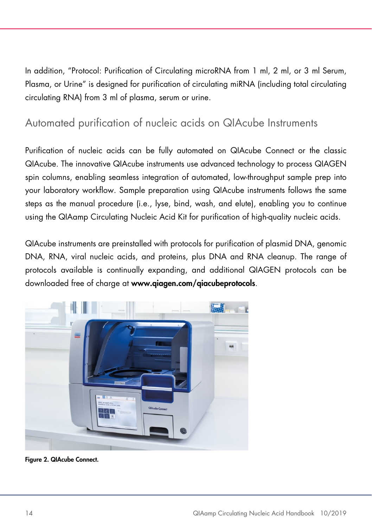In addition, ["Protocol: Purification of Circulating microRNA from 1 ml, 2 ml, or](#page-44-0) 3 ml Serum, [Plasma, or](#page-44-0) Urine" is designed for purification of circulating miRNA (including total circulating circulating RNA) from 3 ml of plasma, serum or urine.

#### <span id="page-13-0"></span>Automated purification of nucleic acids on QIAcube Instruments

Purification of nucleic acids can be fully automated on QIAcube Connect or the classic QIAcube. The innovative QIAcube instruments use advanced technology to process QIAGEN spin columns, enabling seamless integration of automated, low-throughput sample prep into your laboratory workflow. Sample preparation using QIAcube instruments follows the same steps as the manual procedure (i.e., lyse, bind, wash, and elute), enabling you to continue using the QIAamp Circulating Nucleic Acid Kit for purification of high-quality nucleic acids.

QIAcube instruments are preinstalled with protocols for purification of plasmid DNA, genomic DNA, RNA, viral nucleic acids, and proteins, plus DNA and RNA cleanup. The range of protocols available is continually expanding, and additional QIAGEN protocols can be downloaded free of charge at www.qiagen.com/qiacubeprotocols.



Figure 2. QIAcube Connect.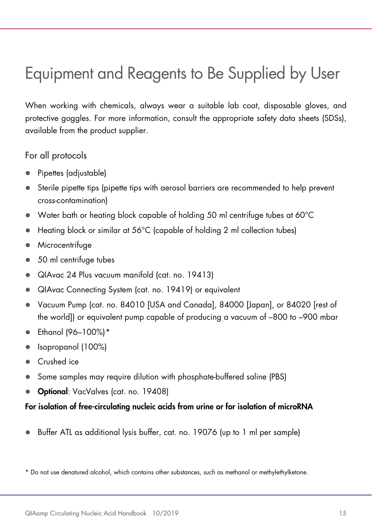### <span id="page-14-0"></span>Equipment and Reagents to Be Supplied by User

When working with chemicals, always wear a suitable lab coat, disposable gloves, and protective goggles. For more information, consult the appropriate safety data sheets (SDSs), available from the product supplier.

For all protocols

- Pipettes (adjustable)
- Sterile pipette tips (pipette tips with aerosol barriers are recommended to help prevent cross-contamination)
- Water bath or heating block capable of holding 50 ml centrifuge tubes at 60°C
- Heating block or similar at 56°C (capable of holding 2 ml collection tubes)
- Microcentrifuge
- 50 ml centrifuge tubes
- QIAvac 24 Plus vacuum manifold (cat. no. 19413)
- QIAvac Connecting System (cat. no. 19419) or equivalent
- Vacuum Pump (cat. no. 84010 [USA and Canada], 84000 [Japan], or 84020 [rest of the world]) or equivalent pump capable of producing a vacuum of –800 to –900 mbar
- Ethanol (96–100%)[\\*](#page-14-1)
- Isopropanol (100%)
- Crushed ice
- Some samples may require dilution with phosphate-buffered saline (PBS)
- Optional: VacValves (cat. no. 19408)

#### For isolation of free-circulating nucleic acids from urine or for isolation of microRNA

Buffer ATL as additional lysis buffer, cat. no. 19076 (up to 1 ml per sample)

<span id="page-14-1"></span><sup>\*</sup> Do not use denatured alcohol, which contains other substances, such as methanol or methylethylketone.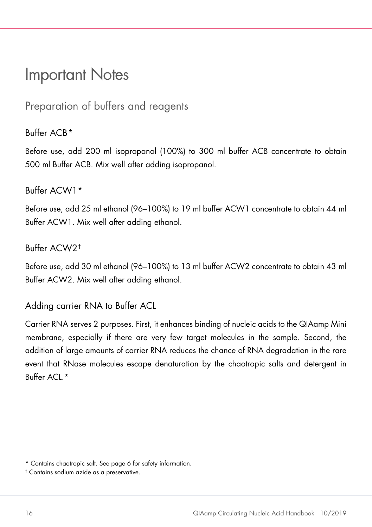### <span id="page-15-2"></span><span id="page-15-0"></span>Important Notes

<span id="page-15-1"></span>Preparation of buffers and reagents

#### $Buffar ACR*$  $Buffar ACR*$

Before use, add 200 ml isopropanol (100%) to 300 ml buffer ACB concentrate to obtain 500 ml Buffer ACB. Mix well after adding isopropanol.

#### Buffer ACW1\*

Before use, add 25 ml ethanol (96–100%) to 19 ml buffer ACW1 concentrate to obtain 44 ml Buffer ACW1. Mix well after adding ethanol.

#### Buffer ACW2[†](#page-15-4)

Before use, add 30 ml ethanol (96–100%) to 13 ml buffer ACW2 concentrate to obtain 43 ml Buffer ACW2. Mix well after adding ethanol.

Adding carrier RNA to Buffer ACL

Carrier RNA serves 2 purposes. First, it enhances binding of nucleic acids to the QIAamp Mini membrane, especially if there are very few target molecules in the sample. Second, the addition of large amounts of carrier RNA reduces the chance of RNA degradation in the rare event that RNase molecules escape denaturation by the chaotropic salts and detergent in Buffer  $ACI$  \*

<span id="page-15-3"></span><sup>\*</sup> Contains chaotropic salt. See page [6](#page-5-1) for safety information.

<span id="page-15-4"></span><sup>†</sup> Contains sodium azide as a preservative.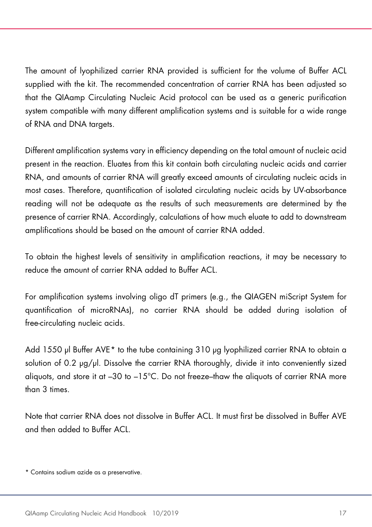The amount of lyophilized carrier RNA provided is sufficient for the volume of Buffer ACL supplied with the kit. The recommended concentration of carrier RNA has been adjusted so that the QIAamp Circulating Nucleic Acid protocol can be used as a generic purification system compatible with many different amplification systems and is suitable for a wide range of RNA and DNA targets.

Different amplification systems vary in efficiency depending on the total amount of nucleic acid present in the reaction. Eluates from this kit contain both circulating nucleic acids and carrier RNA, and amounts of carrier RNA will greatly exceed amounts of circulating nucleic acids in most cases. Therefore, quantification of isolated circulating nucleic acids by UV-absorbance reading will not be adequate as the results of such measurements are determined by the presence of carrier RNA. Accordingly, calculations of how much eluate to add to downstream amplifications should be based on the amount of carrier RNA added.

To obtain the highest levels of sensitivity in amplification reactions, it may be necessary to reduce the amount of carrier RNA added to Buffer ACL.

For amplification systems involving oligo dT primers (e.g., the QIAGEN miScript System for quantification of microRNAs), no carrier RNA should be added during isolation of free-circulating nucleic acids.

Add 1550 µl Buffer AVE[\\*](#page-16-0) to the tube containing 310 µg lyophilized carrier RNA to obtain a solution of 0.2 µg/µl. Dissolve the carrier RNA thoroughly, divide it into conveniently sized aliguots, and store it at  $-30$  to  $-15^{\circ}$ C. Do not freeze-thaw the aliguots of carrier RNA more than 3 times.

Note that carrier RNA does not dissolve in Buffer ACL. It must first be dissolved in Buffer AVE and then added to Buffer ACL.

<span id="page-16-0"></span><sup>\*</sup> Contains sodium azide as a preservative.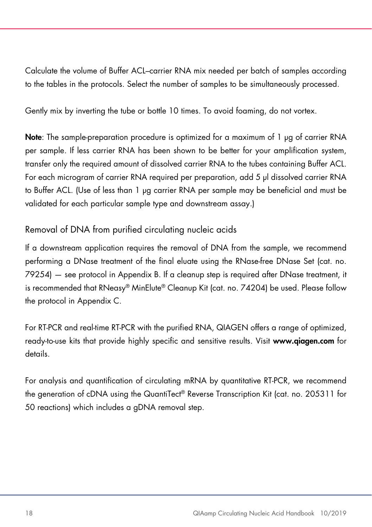<span id="page-17-0"></span>Calculate the volume of Buffer ACL–carrier RNA mix needed per batch of samples according to the tables in the protocols. Select the number of samples to be simultaneously processed.

Gently mix by inverting the tube or bottle 10 times. To avoid foaming, do not vortex.

Note: The sample-preparation procedure is optimized for a maximum of 1 µg of carrier RNA per sample. If less carrier RNA has been shown to be better for your amplification system, transfer only the required amount of dissolved carrier RNA to the tubes containing Buffer ACL. For each microgram of carrier RNA required per preparation, add 5 µl dissolved carrier RNA to Buffer ACL. (Use of less than 1 µg carrier RNA per sample may be beneficial and must be validated for each particular sample type and downstream assay.)

#### Removal of DNA from purified circulating nucleic acids

If a downstream application requires the removal of DNA from the sample, we recommend performing a DNase treatment of the final eluate using the RNase-free DNase Set (cat. no. 79254) — see protocol in Appendix B. If a cleanup step is required after DNase treatment, it is recommended that RNeasy® MinElute® Cleanup Kit (cat. no. 74204) be used. Please follow the protocol in Appendix C.

For RT-PCR and real-time RT-PCR with the purified RNA, QIAGEN offers a range of optimized, ready-to-use kits that provide highly specific and sensitive results. Visit www.qiagen.com for details.

For analysis and quantification of circulating mRNA by quantitative RT-PCR, we recommend the generation of cDNA using the QuantiTect® Reverse Transcription Kit (cat. no. 205311 for 50 reactions) which includes a gDNA removal step.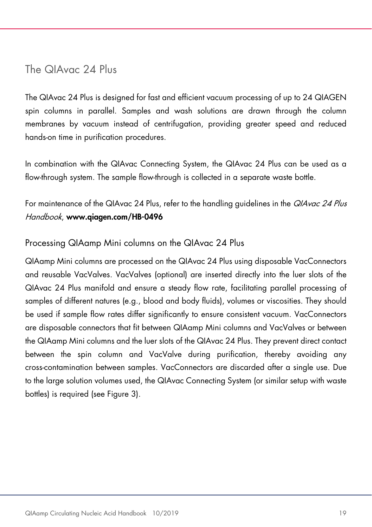The QIAvac 24 Plus

The QIAvac 24 Plus is designed for fast and efficient vacuum processing of up to 24 QIAGEN spin columns in parallel. Samples and wash solutions are drawn through the column membranes by vacuum instead of centrifugation, providing greater speed and reduced hands-on time in purification procedures.

In combination with the QIAvac Connecting System, the QIAvac 24 Plus can be used as a flow-through system. The sample flow-through is collected in a separate waste bottle.

For maintenance of the QIAvac 24 Plus, refer to the handling guidelines in the *QIAvac 24 Plus* Handbook, www.qiagen.com/HB-0496

#### Processing QIAamp Mini columns on the QIAvac 24 Plus

QIAamp Mini columns are processed on the QIAvac 24 Plus using disposable VacConnectors and reusable VacValves. VacValves (optional) are inserted directly into the luer slots of the QIAvac 24 Plus manifold and ensure a steady flow rate, facilitating parallel processing of samples of different natures (e.g., blood and body fluids), volumes or viscosities. They should be used if sample flow rates differ significantly to ensure consistent vacuum. VacConnectors are disposable connectors that fit between QIAamp Mini columns and VacValves or between the QIAamp Mini columns and the luer slots of the QIAvac 24 Plus. They prevent direct contact between the spin column and VacValve during purification, thereby avoiding any cross-contamination between samples. VacConnectors are discarded after a single use. Due to the large solution volumes used, the QIAvac Connecting System (or similar setup with waste bottles) is required (see [Figure 3\)](#page-19-0).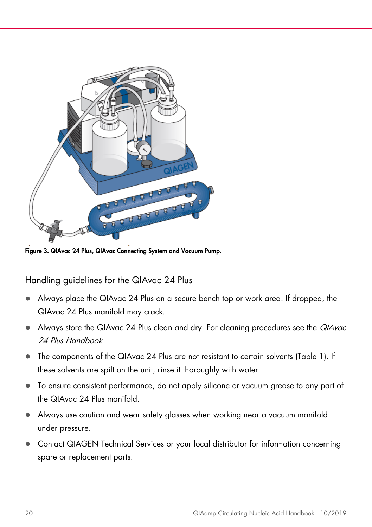

Figure 3. QIAvac 24 Plus, QIAvac Connecting System and Vacuum Pump.

<span id="page-19-0"></span>Handling guidelines for the QIAvac 24 Plus

- Always place the QIAvac 24 Plus on a secure bench top or work area. If dropped, the QIAvac 24 Plus manifold may crack.
- Always store the QIAvac 24 Plus clean and dry. For cleaning procedures see the QIAvac 24 Plus Handbook.
- The components of the QIAvac 24 Plus are not resistant to certain solvents [\(Table 1\)](#page-20-0). If these solvents are spilt on the unit, rinse it thoroughly with water.
- To ensure consistent performance, do not apply silicone or vacuum grease to any part of the QIAvac 24 Plus manifold.
- Always use caution and wear safety glasses when working near a vacuum manifold under pressure.
- Contact QIAGEN Technical Services or your local distributor for information concerning spare or replacement parts.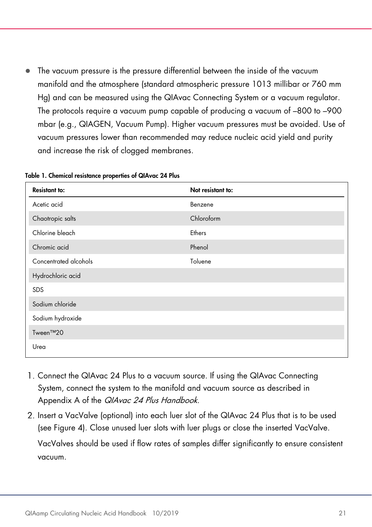The vacuum pressure is the pressure differential between the inside of the vacuum manifold and the atmosphere (standard atmospheric pressure 1013 millibar or 760 mm Hg) and can be measured using the QIAvac Connecting System or a vacuum regulator. The protocols require a vacuum pump capable of producing a vacuum of –800 to –900 mbar (e.g., QIAGEN, Vacuum Pump). Higher vacuum pressures must be avoided. Use of vacuum pressures lower than recommended may reduce nucleic acid yield and purity and increase the risk of clogged membranes.

| <b>Resistant to:</b>  | Not resistant to: |
|-----------------------|-------------------|
| Acetic acid           | Benzene           |
| Chaotropic salts      | Chloroform        |
| Chlorine bleach       | Ethers            |
| Chromic acid          | Phenol            |
| Concentrated alcohols | Toluene           |
| Hydrochloric acid     |                   |
| SDS                   |                   |
| Sodium chloride       |                   |
| Sodium hydroxide      |                   |
| Tween™20              |                   |
| Urea                  |                   |

<span id="page-20-0"></span>Table 1. Chemical resistance properties of QIAvac 24 Plus

- Connect the QIAvac 24 Plus to a vacuum source. If using the QIAvac Connecting System, connect the system to the manifold and vacuum source as described in Appendix A of the *QIAvac 24 Plus Handbook*.
- 2. Insert a VacValve (optional) into each luer slot of the QIAvac 24 Plus that is to be used (see [Figure 4\).](#page-22-0) Close unused luer slots with luer plugs or close the inserted VacValve. VacValves should be used if flow rates of samples differ significantly to ensure consistent vacuum.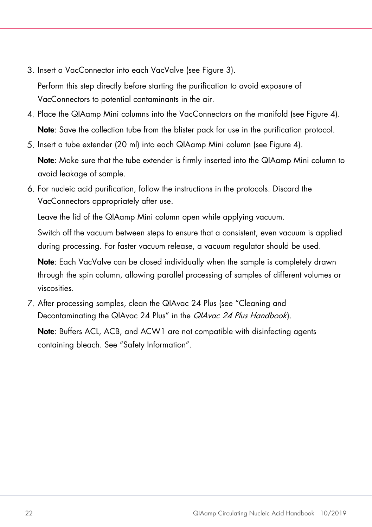- 3. Insert a VacConnector into each VacValve (see [Figure 3\)](#page-19-0). Perform this step directly before starting the purification to avoid exposure of VacConnectors to potential contaminants in the air.
- 4. Place the QIAamp Mini columns into the VacConnectors on the manifold (see [Figure 4\)](#page-22-0). Note: Save the collection tube from the blister pack for use in the purification protocol.
- Insert a tube extender (20 ml) into each QIAamp Mini column (see [Figure 4\)](#page-22-0).

Note: Make sure that the tube extender is firmly inserted into the QIAamp Mini column to avoid leakage of sample.

For nucleic acid purification, follow the instructions in the protocols. Discard the VacConnectors appropriately after use.

Leave the lid of the QIAamp Mini column open while applying vacuum.

Switch off the vacuum between steps to ensure that a consistent, even vacuum is applied during processing. For faster vacuum release, a vacuum regulator should be used.

Note: Each VacValve can be closed individually when the sample is completely drawn through the spin column, allowing parallel processing of samples of different volumes or viscosities.

After processing samples, clean the QIAvac 24 Plus (see "Cleaning and Decontaminating the QIAvac 24 Plus" in the QIAvac 24 Plus Handbook).

Note: Buffers ACL, ACB, and ACW1 are not compatible with disinfecting agents containing bleach. See ["Safety Information"](#page-6-0).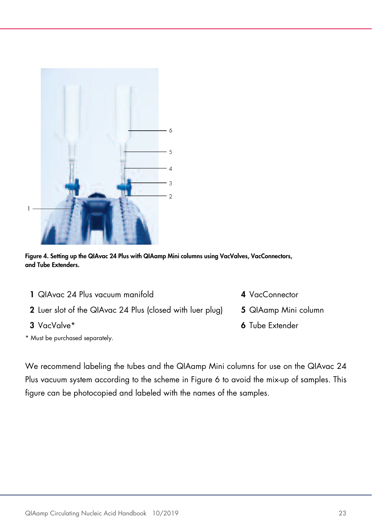

<span id="page-22-0"></span>Figure 4. Setting up the QIAvac 24 Plus with QIAamp Mini columns using VacValves, VacConnectors, and Tube Extenders.

- 1 QIAvac 24 Plus vacuum manifold **4** VacConnector
- 2 Luer slot of the QIAvac 24 Plus (closed with luer plug) 5 QIAamp Mini column
- 
- \* Must be purchased separately.
- 
- 
- 3 VacValve\* 6 Tube Extender

We recommend labeling the tubes and the QIAamp Mini columns for use on the QIAvac 24 Plus vacuum system according to the scheme in Figure 6 to avoid the mix-up of samples. This figure can be photocopied and labeled with the names of the samples.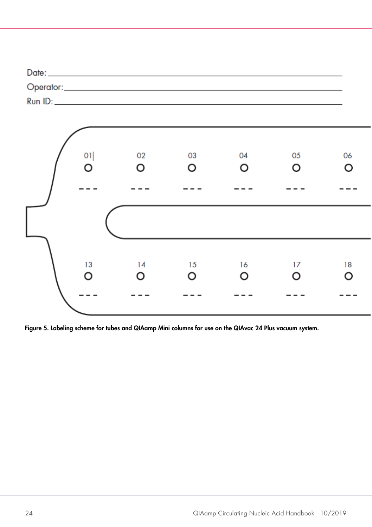| Date:            |  |
|------------------|--|
| Operator:_______ |  |
| Run ID:          |  |



Figure 5. Labeling scheme for tubes and QIAamp Mini columns for use on the QIAvac 24 Plus vacuum system.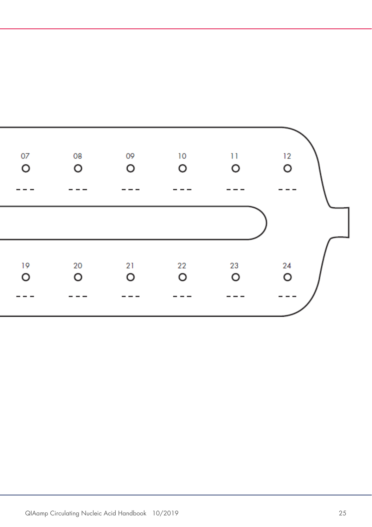<span id="page-24-0"></span>

| 07      | 08 | 09 | 10 | $\overline{11}$ | 12      |  |
|---------|----|----|----|-----------------|---------|--|
| O       | O  | O  | O  | O               | $\circ$ |  |
| 19      | 20 | 21 | 22 | 23              | 24      |  |
| $\circ$ | O  | O  | O  | O               | $\circ$ |  |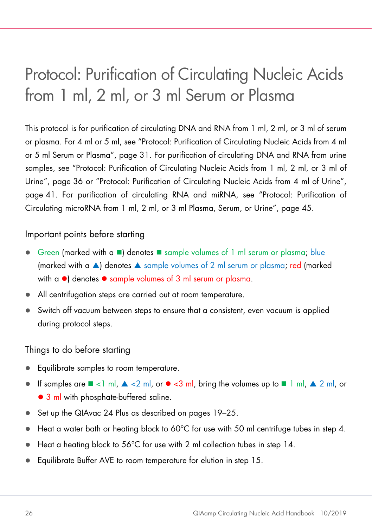### <span id="page-25-0"></span>Protocol: Purification of Circulating Nucleic Acids from 1 ml, 2 ml, or 3 ml Serum or Plasma

This protocol is for purification of circulating DNA and RNA from 1 ml, 2 ml, or 3 ml of serum or plasma. For 4 ml or 5 ml, see "Protocol: Purification of Circulating Nucleic Acids from 4 ml or 5 ml Serum or Plasma", page [31.](#page-30-0) For purification of circulating DNA and RNA from urine samples, see "Protocol: Purification of Circulating Nucleic Acids from 1 ml, 2 ml, or 3 ml of Urine", page [36](#page-35-0) or "Protocol: Purification of Circulating Nucleic Acids from 4 ml of Urine", page [41.](#page-40-0) For purification of circulating RNA and miRNA, see "Protocol: Purification of Circulating microRNA from 1 ml, 2 ml, or 3 ml Plasma, Serum, or Urine", page [45.](#page-44-0)

#### Important points before starting

- $\bullet$  Green (marked with a  $\bullet$ ) denotes  $\bullet$  sample volumes of 1 ml serum or plasma; blue (marked with a  $\triangle$ ) denotes  $\triangle$  sample volumes of 2 ml serum or plasma; red (marked with  $\alpha$   $\bullet$  denotes  $\bullet$  sample volumes of 3 ml serum or plasma.
- All centrifugation steps are carried out at room temperature.
- Switch off vacuum between steps to ensure that a consistent, even vacuum is applied during protocol steps.

#### Things to do before starting

- Equilibrate samples to room temperature.
- If samples are  $\blacksquare$  <1 ml,  $\blacktriangle$  <2 ml, or  $\blacktriangleright$  <3 ml, bring the volumes up to  $\blacksquare$  1 ml,  $\blacktriangle$  2 ml, or • 3 ml with phosphate-buffered saline.
- Set up the QIAvac 24 Plus as described on pages [19](#page-17-0)[–25.](#page-24-0)
- $\bullet$  Heat a water bath or heating block to 60°C for use with 50 ml centrifuge tubes in step 4.
- Heat a heating block to 56°C for use with 2 ml collection tubes in step 14.
- Equilibrate Buffer AVE to room temperature for elution in step 15.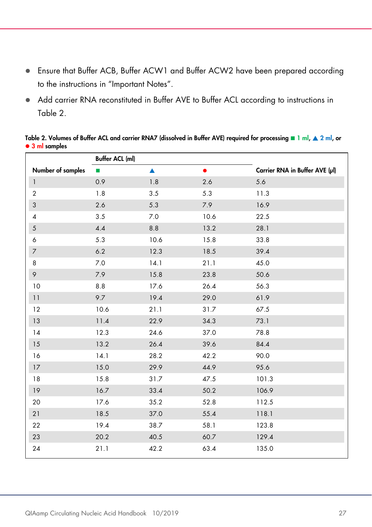- Ensure that Buffer ACB, Buffer ACW1 and Buffer ACW2 have been prepared according to the instructions in ["Important Notes"](#page-15-0).
- Add carrier RNA reconstituted in Buffer AVE to Buffer ACL according to instructions in Table 2.

<span id="page-26-0"></span>Table 2. Volumes of Buffer ACL and carrier RNA7 (dissolved in Buffer AVE) required for processing **1** ml,  $\triangle$  2 ml, or • 3 ml samples

|                           | <b>Buffer ACL (ml)</b> |                  |           |                                |
|---------------------------|------------------------|------------------|-----------|--------------------------------|
| Number of samples         | п                      | $\blacktriangle$ | $\bullet$ | Carrier RNA in Buffer AVE (µl) |
| $\mathbf{1}$              | 0.9                    | 1.8              | 2.6       | 5.6                            |
| $\overline{2}$            | 1.8                    | 3.5              | 5.3       | 11.3                           |
| $\ensuremath{\mathsf{3}}$ | 2.6                    | 5.3              | 7.9       | 16.9                           |
| $\overline{4}$            | 3.5                    | 7.0              | 10.6      | 22.5                           |
| $\mathfrak{S}$            | 4.4                    | 8.8              | 13.2      | 28.1                           |
| 6                         | 5.3                    | 10.6             | 15.8      | 33.8                           |
| $\overline{7}$            | 6.2                    | 12.3             | 18.5      | 39.4                           |
| 8                         | 7.0                    | 14.1             | 21.1      | 45.0                           |
| 9                         | 7.9                    | 15.8             | 23.8      | 50.6                           |
| 10                        | $8.8\,$                | 17.6             | 26.4      | 56.3                           |
| 11                        | 9.7                    | 19.4             | 29.0      | 61.9                           |
| 12                        | 10.6                   | 21.1             | 31.7      | 67.5                           |
| 13                        | 11.4                   | 22.9             | 34.3      | 73.1                           |
| 14                        | 12.3                   | 24.6             | 37.0      | 78.8                           |
| 15                        | 13.2                   | 26.4             | 39.6      | 84.4                           |
| 16                        | 14.1                   | 28.2             | 42.2      | 90.0                           |
| 17                        | 15.0                   | 29.9             | 44.9      | 95.6                           |
| 18                        | 15.8                   | 31.7             | 47.5      | 101.3                          |
| 19                        | 16.7                   | 33.4             | 50.2      | 106.9                          |
| 20                        | 17.6                   | 35.2             | 52.8      | 112.5                          |
| 21                        | 18.5                   | 37.0             | 55.4      | 118.1                          |
| 22                        | 19.4                   | 38.7             | 58.1      | 123.8                          |
| 23                        | 20.2                   | 40.5             | 60.7      | 129.4                          |
| 24                        | 21.1                   | 42.2             | 63.4      | 135.0                          |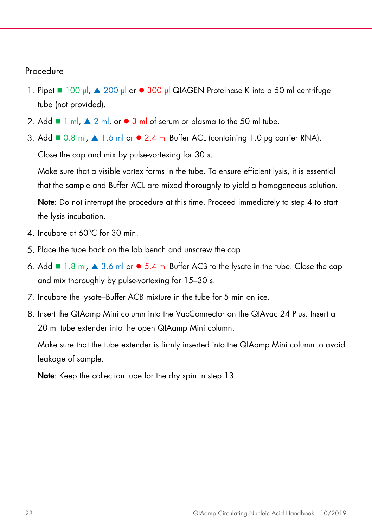#### Procedure

- 1. Pipet 100 µl, ▲ 200 µl or 300 µl QIAGEN Proteinase K into a 50 ml centrifuge tube (not provided).
- 2. Add  $\blacksquare$  1 ml,  $\blacktriangle$  2 ml, or  $\blacktriangleright$  3 ml of serum or plasma to the 50 ml tube.
- 3. Add  $\blacksquare$  0.8 ml,  $\blacktriangle$  1.6 ml or  $\blacktriangleright$  2.4 ml Buffer ACL (containing 1.0 µg carrier RNA).

Close the cap and mix by pulse-vortexing for 30 s.

Make sure that a visible vortex forms in the tube. To ensure efficient lysis, it is essential that the sample and Buffer ACL are mixed thoroughly to yield a homogeneous solution.

Note: Do not interrupt the procedure at this time. Proceed immediately to step 4 to start the lysis incubation.

- 4. Incubate at 60°C for 30 min.
- Place the tube back on the lab bench and unscrew the cap.
- 6. Add  $\blacksquare$  1.8 ml,  $\blacktriangle$  3.6 ml or  $\blacktriangleright$  5.4 ml Buffer ACB to the lysate in the tube. Close the cap and mix thoroughly by pulse-vortexing for 15–30 s.
- 7. Incubate the lysate–Buffer ACB mixture in the tube for 5 min on ice.
- Insert the QIAamp Mini column into the VacConnector on the QIAvac 24 Plus. Insert a 20 ml tube extender into the open QIAamp Mini column.

Make sure that the tube extender is firmly inserted into the QIAamp Mini column to avoid leakage of sample.

Note: Keep the collection tube for the dry spin in step 13.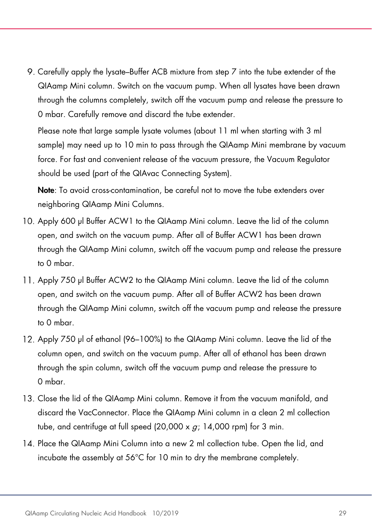9. Carefully apply the lysate–Buffer ACB mixture from step 7 into the tube extender of the QIAamp Mini column. Switch on the vacuum pump. When all lysates have been drawn through the columns completely, switch off the vacuum pump and release the pressure to 0 mbar. Carefully remove and discard the tube extender.

Please note that large sample lysate volumes (about 11 ml when starting with 3 ml sample) may need up to 10 min to pass through the QIAamp Mini membrane by vacuum force. For fast and convenient release of the vacuum pressure, the Vacuum Regulator should be used (part of the QIAvac Connecting System).

Note: To avoid cross-contamination, be careful not to move the tube extenders over neighboring QIAamp Mini Columns.

- Apply 600 µl Buffer ACW1 to the QIAamp Mini column. Leave the lid of the column open, and switch on the vacuum pump. After all of Buffer ACW1 has been drawn through the QIAamp Mini column, switch off the vacuum pump and release the pressure to 0 mbar.
- Apply 750 µl Buffer ACW2 to the QIAamp Mini column. Leave the lid of the column open, and switch on the vacuum pump. After all of Buffer ACW2 has been drawn through the QIAamp Mini column, switch off the vacuum pump and release the pressure to 0 mbar.
- Apply 750 µl of ethanol (96–100%) to the QIAamp Mini column. Leave the lid of the column open, and switch on the vacuum pump. After all of ethanol has been drawn through the spin column, switch off the vacuum pump and release the pressure to 0 mbar.
- Close the lid of the QIAamp Mini column. Remove it from the vacuum manifold, and discard the VacConnector. Place the QIAamp Mini column in a clean 2 ml collection tube, and centrifuge at full speed (20,000 x  $g$ ; 14,000 rpm) for 3 min.
- Place the QIAamp Mini Column into a new 2 ml collection tube. Open the lid, and incubate the assembly at 56°C for 10 min to dry the membrane completely.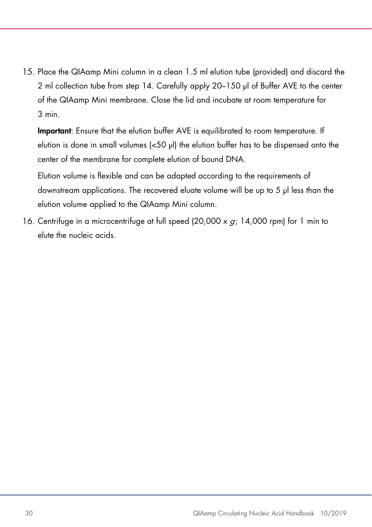Place the QIAamp Mini column in a clean 1.5 ml elution tube (provided) and discard the 2 ml collection tube from step 14. Carefully apply 20–150 µl of Buffer AVE to the center of the QIAamp Mini membrane. Close the lid and incubate at room temperature for 3 min.

Important: Ensure that the elution buffer AVE is equilibrated to room temperature. If elution is done in small volumes (<50 µl) the elution buffer has to be dispensed onto the center of the membrane for complete elution of bound DNA.

Elution volume is flexible and can be adapted according to the requirements of downstream applications. The recovered eluate volume will be up to 5 µl less than the elution volume applied to the QIAamp Mini column.

16. Centrifuge in a microcentrifuge at full speed  $(20,000 \times q; 14,000 \text{ rpm})$  for 1 min to elute the nucleic acids.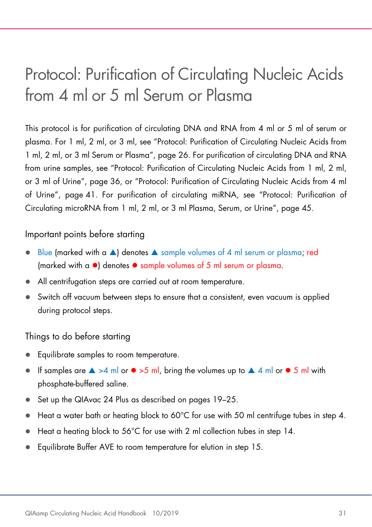### <span id="page-30-0"></span>Protocol: Purification of Circulating Nucleic Acids from 4 ml or 5 ml Serum or Plasma

This protocol is for purification of circulating DNA and RNA from 4 ml or 5 ml of serum or plasma. For 1 ml, 2 ml, or 3 ml, see "Protocol: Purification of Circulating Nucleic Acids from 1 ml, 2 ml, or 3 ml Serum or Plasma", page [26.](#page-25-0) For purification of circulating DNA and RNA from urine samples, see "Protocol: Purification of Circulating Nucleic Acids from 1 ml, 2 ml, or 3 ml of Urine", page [36,](#page-35-0) or "Protocol: Purification of Circulating Nucleic Acids from 4 ml of Urine", page [41.](#page-40-0) For purification of circulating miRNA, see "Protocol: Purification of Circulating microRNA from 1 ml, 2 ml, or 3 ml Plasma, Serum, or Urine", page [45.](#page-44-0)

#### Important points before starting

- $\bullet$  Blue (marked with a  $\blacktriangle$ ) denotes  $\blacktriangle$  sample volumes of 4 ml serum or plasma; red (marked with a  $\bullet$ ) denotes  $\bullet$  sample volumes of 5 ml serum or plasma.
- All centrifugation steps are carried out at room temperature.
- Switch off vacuum between steps to ensure that a consistent, even vacuum is applied during protocol steps.

#### Things to do before starting

- Equilibrate samples to room temperature.
- If samples are  $\triangle$  >4 ml or  $\bullet$  >5 ml, bring the volumes up to  $\triangle$  4 ml or  $\bullet$  5 ml with phosphate-buffered saline.
- Set up the QIAvac 24 Plus as described on pages [19](#page-17-0)[–25.](#page-24-0)
- $\bullet$  Heat a water bath or heating block to 60°C for use with 50 ml centrifuge tubes in step 4.
- Heat a heating block to 56°C for use with 2 ml collection tubes in step 14.
- Equilibrate Buffer AVE to room temperature for elution in step 15.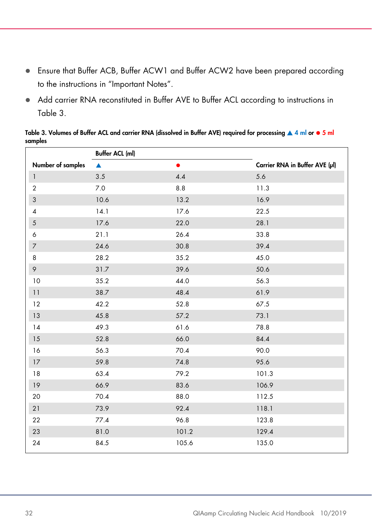- Ensure that Buffer ACB, Buffer ACW1 and Buffer ACW2 have been prepared according to the instructions in ["Important Notes"](#page-15-0).
- Add carrier RNA reconstituted in Buffer AVE to Buffer ACL according to instructions in [Table 3.](#page-31-0)

<span id="page-31-0"></span>Table 3. Volumes of Buffer ACL and carrier RNA (dissolved in Buffer AVE) required for processing  $\triangle 4$  ml or  $\bullet$  5 ml samples

|                   | <b>Buffer ACL (ml)</b> |           |                                |
|-------------------|------------------------|-----------|--------------------------------|
| Number of samples | ▲                      | $\bullet$ | Carrier RNA in Buffer AVE (µI) |
| $\mathbf{1}$      | 3.5                    | 4.4       | 5.6                            |
| $\overline{2}$    | 7.0                    | 8.8       | 11.3                           |
| $\mathfrak{S}$    | 10.6                   | 13.2      | 16.9                           |
| $\overline{4}$    | 14.1                   | 17.6      | 22.5                           |
| $\sqrt{5}$        | 17.6                   | 22.0      | 28.1                           |
| 6                 | 21.1                   | 26.4      | 33.8                           |
| $\boldsymbol{7}$  | 24.6                   | 30.8      | 39.4                           |
| 8                 | 28.2                   | 35.2      | 45.0                           |
| $\varphi$         | 31.7                   | 39.6      | 50.6                           |
| 10                | 35.2                   | 44.0      | 56.3                           |
| 11                | 38.7                   | 48.4      | 61.9                           |
| 12                | 42.2                   | 52.8      | 67.5                           |
| 13                | 45.8                   | 57.2      | 73.1                           |
| 14                | 49.3                   | 61.6      | 78.8                           |
| 15                | 52.8                   | 66.0      | 84.4                           |
| 16                | 56.3                   | 70.4      | 90.0                           |
| 17                | 59.8                   | 74.8      | 95.6                           |
| 18                | 63.4                   | 79.2      | 101.3                          |
| 19                | 66.9                   | 83.6      | 106.9                          |
| 20                | 70.4                   | 88.0      | 112.5                          |
| 21                | 73.9                   | 92.4      | 118.1                          |
| 22                | 77.4                   | 96.8      | 123.8                          |
| 23                | 81.0                   | 101.2     | 129.4                          |
| 24                | 84.5                   | 105.6     | 135.0                          |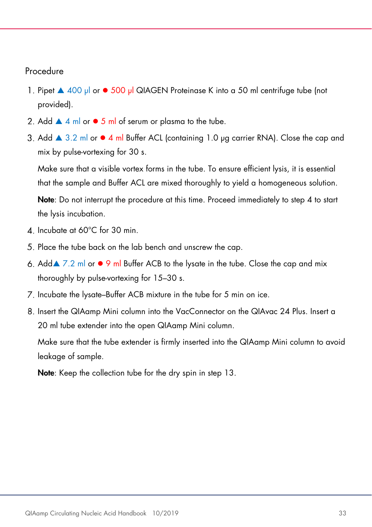#### Procedure

- 1. Pipet ▲ 400 µl or 500 µl QIAGEN Proteinase K into a 50 ml centrifuge tube (not provided).
- 2. Add  $\blacktriangle$  4 ml or  $\blacktriangleright$  5 ml of serum or plasma to the tube.
- 3. Add  $\triangle$  3.2 ml or  $\bullet$  4 ml Buffer ACL (containing 1.0 µg carrier RNA). Close the cap and mix by pulse-vortexing for 30 s.

Make sure that a visible vortex forms in the tube. To ensure efficient lysis, it is essential that the sample and Buffer ACL are mixed thoroughly to yield a homogeneous solution.

Note: Do not interrupt the procedure at this time. Proceed immediately to step 4 to start the lysis incubation.

- 4. Incubate at 60°C for 30 min.
- 5. Place the tube back on the lab bench and unscrew the cap.
- 6. Add  $\blacktriangleright$  7.2 ml or  $\blacktriangleright$  9 ml Buffer ACB to the lysate in the tube. Close the cap and mix thoroughly by pulse-vortexing for 15–30 s.
- 7. Incubate the lysate–Buffer ACB mixture in the tube for 5 min on ice.
- Insert the QIAamp Mini column into the VacConnector on the QIAvac 24 Plus. Insert a 20 ml tube extender into the open QIAamp Mini column.

Make sure that the tube extender is firmly inserted into the QIAamp Mini column to avoid leakage of sample.

Note: Keep the collection tube for the dry spin in step 13.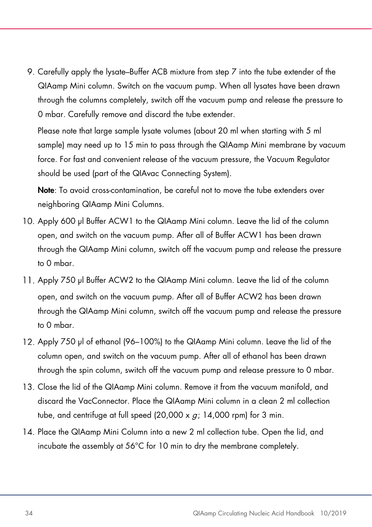9. Carefully apply the lysate–Buffer ACB mixture from step 7 into the tube extender of the QIAamp Mini column. Switch on the vacuum pump. When all lysates have been drawn through the columns completely, switch off the vacuum pump and release the pressure to 0 mbar. Carefully remove and discard the tube extender.

Please note that large sample lysate volumes (about 20 ml when starting with 5 ml sample) may need up to 15 min to pass through the QIAamp Mini membrane by vacuum force. For fast and convenient release of the vacuum pressure, the Vacuum Regulator should be used (part of the QIAvac Connecting System).

Note: To avoid cross-contamination, be careful not to move the tube extenders over neighboring QIAamp Mini Columns.

- Apply 600 µl Buffer ACW1 to the QIAamp Mini column. Leave the lid of the column open, and switch on the vacuum pump. After all of Buffer ACW1 has been drawn through the QIAamp Mini column, switch off the vacuum pump and release the pressure to 0 mbar.
- Apply 750 µl Buffer ACW2 to the QIAamp Mini column. Leave the lid of the column open, and switch on the vacuum pump. After all of Buffer ACW2 has been drawn through the QIAamp Mini column, switch off the vacuum pump and release the pressure to 0 mbar.
- Apply 750 µl of ethanol (96–100%) to the QIAamp Mini column. Leave the lid of the column open, and switch on the vacuum pump. After all of ethanol has been drawn through the spin column, switch off the vacuum pump and release pressure to 0 mbar.
- 13. Close the lid of the QIAamp Mini column. Remove it from the vacuum manifold, and discard the VacConnector. Place the QIAamp Mini column in a clean 2 ml collection tube, and centrifuge at full speed  $(20,000 \times q; 14,000 \text{ rpm})$  for 3 min.
- Place the QIAamp Mini Column into a new 2 ml collection tube. Open the lid, and incubate the assembly at 56°C for 10 min to dry the membrane completely.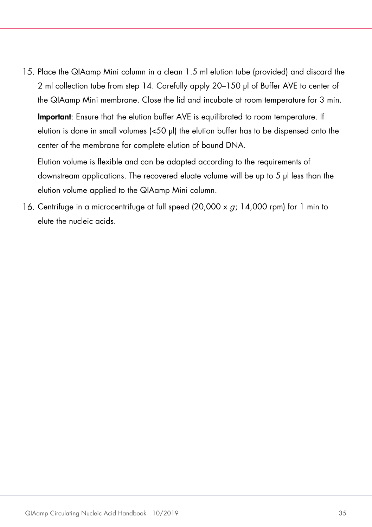Place the QIAamp Mini column in a clean 1.5 ml elution tube (provided) and discard the 2 ml collection tube from step 14. Carefully apply 20–150 µl of Buffer AVE to center of the QIAamp Mini membrane. Close the lid and incubate at room temperature for 3 min.

Important: Ensure that the elution buffer AVE is equilibrated to room temperature. If elution is done in small volumes (<50 µl) the elution buffer has to be dispensed onto the center of the membrane for complete elution of bound DNA.

Elution volume is flexible and can be adapted according to the requirements of downstream applications. The recovered eluate volume will be up to 5 µl less than the elution volume applied to the QIAamp Mini column.

16. Centrifuge in a microcentrifuge at full speed (20,000 x  $g$ ; 14,000 rpm) for 1 min to elute the nucleic acids.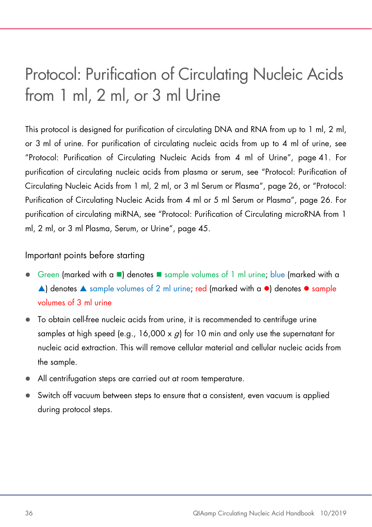### <span id="page-35-0"></span>Protocol: Purification of Circulating Nucleic Acids from 1 ml, 2 ml, or 3 ml Urine

This protocol is designed for purification of circulating DNA and RNA from up to 1 ml, 2 ml, or 3 ml of urine. For purification of circulating nucleic acids from up to 4 ml of urine, see "Protocol: Purification of Circulating Nucleic Acids from 4 ml of Urine", page [41.](#page-40-0) For purification of circulating nucleic acids from plasma or serum, see "Protocol: Purification of Circulating Nucleic Acids from 1 ml, 2 ml, or 3 ml Serum or Plasma", page [26,](#page-25-0) or "Protocol: Purification of Circulating Nucleic Acids from 4 ml or 5 ml Serum or Plasma", page 26. For purification of circulating miRNA, see "Protocol: Purification of Circulating microRNA from 1 ml, 2 ml, or 3 ml Plasma, Serum, or Urine", page [45.](#page-44-0)

#### Important points before starting

- Green (marked with a  $\blacksquare$ ) denotes  $\blacksquare$  sample volumes of 1 ml urine; blue (marked with a  $\triangle$ ) denotes  $\triangle$  sample volumes of 2 ml urine; red (marked with a  $\bullet$ ) denotes  $\bullet$  sample volumes of 3 ml urine
- To obtain cell-free nucleic acids from urine, it is recommended to centrifuge urine samples at high speed (e.g., 16,000  $\times$  *a*) for 10 min and only use the supernatant for nucleic acid extraction. This will remove cellular material and cellular nucleic acids from the sample.
- All centrifugation steps are carried out at room temperature.
- Switch off vacuum between steps to ensure that a consistent, even vacuum is applied during protocol steps.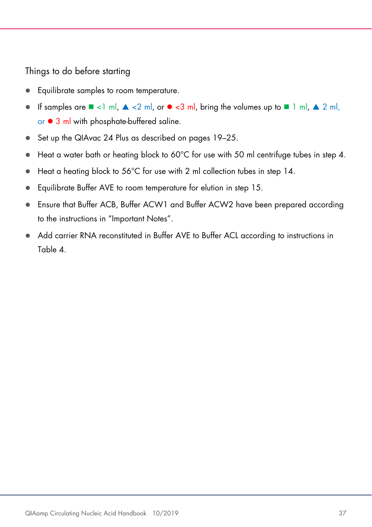<span id="page-36-0"></span>Things to do before starting

- Equilibrate samples to room temperature.
- If samples are  $\blacksquare$  <1 ml,  $\blacktriangle$  <2 ml, or  $\blacklozenge$  <3 ml, bring the volumes up to  $\blacksquare$  1 ml,  $\blacktriangle$  2 ml, or  $\bullet$  3 ml with phosphate-buffered saline.
- Set up the QIAvac 24 Plus as described on pages [19](#page-17-0)[–25.](#page-24-0)
- $\bullet$  Heat a water bath or heating block to 60°C for use with 50 ml centrifuge tubes in step 4.
- Heat a heating block to 56°C for use with 2 ml collection tubes in step 14.
- Equilibrate Buffer AVE to room temperature for elution in step 15.
- Ensure that Buffer ACB, Buffer ACW1 and Buffer ACW2 have been prepared according to the instructions in ["Important Notes"](#page-15-0).
- Add carrier RNA reconstituted in Buffer AVE to Buffer ACL according to instructions in [Table 4.](#page-36-0)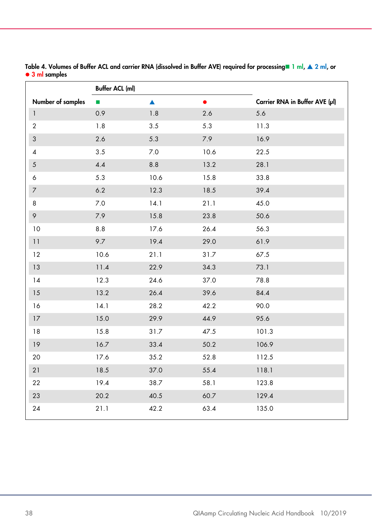|                           | <b>Buffer ACL (ml)</b> |                  |           |                                |
|---------------------------|------------------------|------------------|-----------|--------------------------------|
| Number of samples         | п                      | $\blacktriangle$ | $\bullet$ | Carrier RNA in Buffer AVE (µl) |
| $\mathbf{1}$              | 0.9                    | $1.8\,$          | 2.6       | 5.6                            |
| $\overline{2}$            | 1.8                    | 3.5              | 5.3       | 11.3                           |
| $\ensuremath{\mathsf{3}}$ | 2.6                    | 5.3              | $7.9$     | 16.9                           |
| $\overline{\mathcal{A}}$  | 3.5                    | 7.0              | 10.6      | 22.5                           |
| $\sqrt{5}$                | 4.4                    | 8.8              | 13.2      | 28.1                           |
| 6                         | 5.3                    | 10.6             | 15.8      | 33.8                           |
| $\overline{7}$            | 6.2                    | 12.3             | 18.5      | 39.4                           |
| 8                         | 7.0                    | 14.1             | 21.1      | 45.0                           |
| 9                         | 7.9                    | 15.8             | 23.8      | 50.6                           |
| 10                        | 8.8                    | 17.6             | 26.4      | 56.3                           |
| 11                        | 9.7                    | 19.4             | 29.0      | 61.9                           |
| 12                        | 10.6                   | 21.1             | 31.7      | 67.5                           |
| 13                        | 11.4                   | 22.9             | 34.3      | 73.1                           |
| 14                        | 12.3                   | 24.6             | 37.0      | 78.8                           |
| 15                        | 13.2                   | 26.4             | 39.6      | 84.4                           |
| 16                        | 14.1                   | 28.2             | 42.2      | 90.0                           |
| 17                        | 15.0                   | 29.9             | 44.9      | 95.6                           |
| 18                        | 15.8                   | 31.7             | 47.5      | 101.3                          |
| 19                        | 16.7                   | 33.4             | 50.2      | 106.9                          |
| 20                        | 17.6                   | 35.2             | 52.8      | 112.5                          |
| 21                        | 18.5                   | 37.0             | 55.4      | 118.1                          |
| 22                        | 19.4                   | 38.7             | 58.1      | 123.8                          |
| 23                        | 20.2                   | 40.5             | 60.7      | 129.4                          |
| 24                        | 21.1                   | 42.2             | 63.4      | 135.0                          |

Table 4. Volumes of Buffer ACL and carrier RNA (dissolved in Buffer AVE) required for processing 1 ml,  $\triangle 2$  ml, or ● 3 ml samples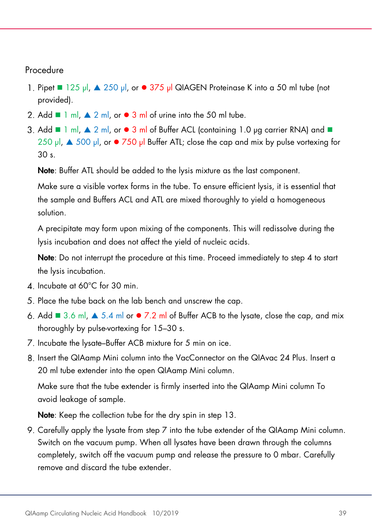#### Procedure

- 1. Pipet  $\blacksquare$  125 µl,  $\blacktriangle$  250 µl, or  $\blacksquare$  375 µl QIAGEN Proteinase K into a 50 ml tube (not provided).
- 2. Add  $\blacksquare$  1 ml,  $\blacktriangle$  2 ml, or  $\blacktriangleright$  3 ml of urine into the 50 ml tube.
- 3. Add  $\blacksquare$  1 ml,  $\blacktriangle$  2 ml, or  $\blacktriangleright$  3 ml of Buffer ACL (containing 1.0 µg carrier RNA) and  $\blacksquare$ 250  $\mu$ ,  $\triangle$  500  $\mu$ , or  $\bullet$  750  $\mu$  Buffer ATL; close the cap and mix by pulse vortexing for 30 s.

Note: Buffer ATL should be added to the lysis mixture as the last component.

Make sure a visible vortex forms in the tube. To ensure efficient lysis, it is essential that the sample and Buffers ACL and ATL are mixed thoroughly to yield a homogeneous solution.

A precipitate may form upon mixing of the components. This will redissolve during the lysis incubation and does not affect the yield of nucleic acids.

Note: Do not interrupt the procedure at this time. Proceed immediately to step 4 to start the lysis incubation.

- 4. Incubate at 60°C for 30 min.
- 5. Place the tube back on the lab bench and unscrew the cap.
- 6. Add  $\blacksquare$  3.6 ml,  $\blacktriangle$  5.4 ml or  $\blacksquare$  7.2 ml of Buffer ACB to the lysate, close the cap, and mix thoroughly by pulse-vortexing for 15–30 s.
- 7. Incubate the lysate–Buffer ACB mixture for 5 min on ice.
- 8. Insert the QIAamp Mini column into the VacConnector on the QIAvac 24 Plus. Insert a 20 ml tube extender into the open QIAamp Mini column.

Make sure that the tube extender is firmly inserted into the QIAamp Mini column To avoid leakage of sample.

Note: Keep the collection tube for the dry spin in step 13.

9. Carefully apply the lysate from step 7 into the tube extender of the QIAamp Mini column. Switch on the vacuum pump. When all lysates have been drawn through the columns completely, switch off the vacuum pump and release the pressure to 0 mbar. Carefully remove and discard the tube extender.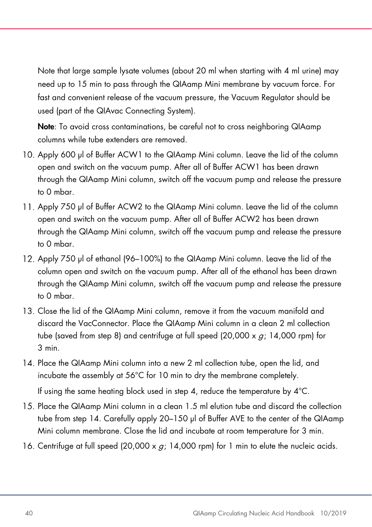Note that large sample lysate volumes (about 20 ml when starting with 4 ml urine) may need up to 15 min to pass through the QIAamp Mini membrane by vacuum force. For fast and convenient release of the vacuum pressure, the Vacuum Regulator should be used (part of the QIAvac Connecting System).

Note: To avoid cross contaminations, be careful not to cross neighboring QIAamp columns while tube extenders are removed.

- Apply 600 µl of Buffer ACW1 to the QIAamp Mini column. Leave the lid of the column open and switch on the vacuum pump. After all of Buffer ACW1 has been drawn through the QIAamp Mini column, switch off the vacuum pump and release the pressure to 0 mbar.
- Apply 750 µl of Buffer ACW2 to the QIAamp Mini column. Leave the lid of the column open and switch on the vacuum pump. After all of Buffer ACW2 has been drawn through the QIAamp Mini column, switch off the vacuum pump and release the pressure to 0 mbar.
- Apply 750 µl of ethanol (96–100%) to the QIAamp Mini column. Leave the lid of the column open and switch on the vacuum pump. After all of the ethanol has been drawn through the QIAamp Mini column, switch off the vacuum pump and release the pressure to 0 mbar.
- Close the lid of the QIAamp Mini column, remove it from the vacuum manifold and discard the VacConnector. Place the QIAamp Mini column in a clean 2 ml collection tube (saved from step 8) and centrifuge at full speed (20,000 x  $g$ ; 14,000 rpm) for 3 min.
- Place the QIAamp Mini column into a new 2 ml collection tube, open the lid, and incubate the assembly at 56°C for 10 min to dry the membrane completely.

If using the same heating block used in step 4, reduce the temperature by 4°C.

- Place the QIAamp Mini column in a clean 1.5 ml elution tube and discard the collection tube from step 14. Carefully apply 20–150 µl of Buffer AVE to the center of the QIAamp Mini column membrane. Close the lid and incubate at room temperature for 3 min.
- 16. Centrifuge at full speed (20,000 x  $q$ ; 14,000 rpm) for 1 min to elute the nucleic acids.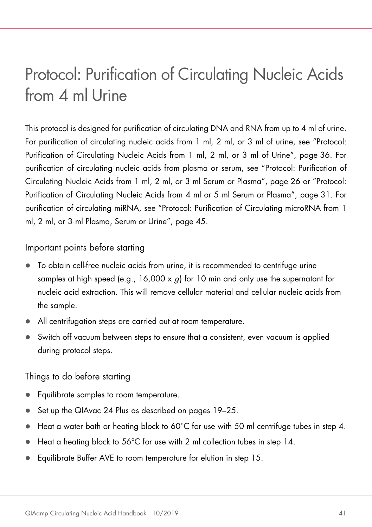### <span id="page-40-0"></span>Protocol: Purification of Circulating Nucleic Acids from 4 ml Urine

This protocol is designed for purification of circulating DNA and RNA from up to 4 ml of urine. For purification of circulating nucleic acids from 1 ml, 2 ml, or 3 ml of urine, see "Protocol: Purification of Circulating Nucleic Acids from 1 ml, 2 ml, or 3 ml of Urine", page [36.](#page-35-0) For purification of circulating nucleic acids from plasma or serum, see "Protocol: Purification of Circulating Nucleic Acids from 1 ml, 2 ml, or 3 ml Serum or Plasma", page [26](#page-25-0) or "Protocol: Purification of Circulating Nucleic Acids from 4 ml or 5 ml Serum or Plasma", page [31.](#page-30-0) For purification of circulating miRNA, see "Protocol: Purification of Circulating microRNA from 1 ml, 2 ml, or 3 ml Plasma, Serum or Urine", page [45.](#page-44-0)

#### Important points before starting

- To obtain cell-free nucleic acids from urine, it is recommended to centrifuge urine samples at high speed (e.g.,  $16,000 \times a$ ) for 10 min and only use the supernatant for nucleic acid extraction. This will remove cellular material and cellular nucleic acids from the sample.
- All centrifugation steps are carried out at room temperature.
- Switch off vacuum between steps to ensure that a consistent, even vacuum is applied during protocol steps.

#### Things to do before starting

- Equilibrate samples to room temperature.
- Set up the QIAvac 24 Plus as described on pages [19](#page-17-0)-25.
- $\bullet$  Heat a water bath or heating block to 60°C for use with 50 ml centrifuge tubes in step 4.
- Heat a heating block to 56°C for use with 2 ml collection tubes in step 14.
- Equilibrate Buffer AVE to room temperature for elution in step 15.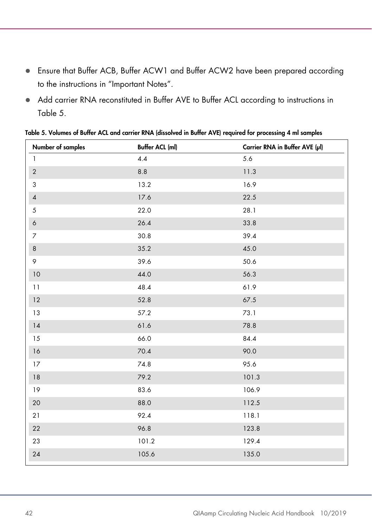- Ensure that Buffer ACB, Buffer ACW1 and Buffer ACW2 have been prepared according to the instructions in ["Important Notes"](#page-15-0).
- Add carrier RNA reconstituted in Buffer AVE to Buffer ACL according to instructions in [Table 5.](#page-41-0)

| Number of samples | <b>Buffer ACL (ml)</b> | Carrier RNA in Buffer AVE (µl) |
|-------------------|------------------------|--------------------------------|
| $\mathbf{1}$      | 4.4                    | 5.6                            |
| $\sqrt{2}$        | $8.8\,$                | 11.3                           |
| $\sqrt{3}$        | 13.2                   | 16.9                           |
| $\pmb{4}$         | 17.6                   | 22.5                           |
| $\sqrt{5}$        | 22.0                   | 28.1                           |
| $\boldsymbol{6}$  | 26.4                   | 33.8                           |
| $\overline{7}$    | 30.8                   | 39.4                           |
| $\,8\,$           | 35.2                   | 45.0                           |
| 9                 | 39.6                   | 50.6                           |
| $10$              | 44.0                   | 56.3                           |
| 11                | 48.4                   | 61.9                           |
| $12\,$            | 52.8                   | 67.5                           |
| 13                | 57.2                   | 73.1                           |
| $14$              | 61.6                   | 78.8                           |
| $15\,$            | 66.0                   | 84.4                           |
| 16                | 70.4                   | 90.0                           |
| $17\,$            | 74.8                   | 95.6                           |
| $18\,$            | 79.2                   | 101.3                          |
| 19                | 83.6                   | 106.9                          |
| 20                | 88.0                   | 112.5                          |
| 21                | 92.4                   | 118.1                          |
| 22                | 96.8                   | 123.8                          |
| 23                | 101.2                  | 129.4                          |
| 24                | 105.6                  | 135.0                          |
|                   |                        |                                |

<span id="page-41-0"></span>Table 5. Volumes of Buffer ACL and carrier RNA (dissolved in Buffer AVE) required for processing 4 ml samples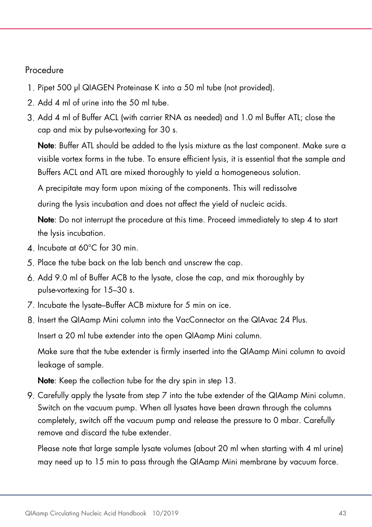#### Procedure

- 1. Pipet 500 µl QIAGEN Proteinase K into a 50 ml tube (not provided).
- 2 Add 4 ml of urine into the 50 ml tube.
- Add 4 ml of Buffer ACL (with carrier RNA as needed) and 1.0 ml Buffer ATL; close the cap and mix by pulse-vortexing for 30 s.

Note: Buffer ATL should be added to the lysis mixture as the last component. Make sure a visible vortex forms in the tube. To ensure efficient lysis, it is essential that the sample and Buffers ACL and ATL are mixed thoroughly to yield a homogeneous solution.

A precipitate may form upon mixing of the components. This will redissolve during the lysis incubation and does not affect the yield of nucleic acids.

Note: Do not interrupt the procedure at this time. Proceed immediately to step 4 to start the lysis incubation.

- 4. Incubate at 60°C for 30 min.
- 5. Place the tube back on the lab bench and unscrew the cap.
- Add 9.0 ml of Buffer ACB to the lysate, close the cap, and mix thoroughly by pulse-vortexing for 15–30 s.
- 7. Incubate the lysate–Buffer ACB mixture for 5 min on ice.
- Insert the QIAamp Mini column into the VacConnector on the QIAvac 24 Plus.

Insert a 20 ml tube extender into the open QIAamp Mini column.

Make sure that the tube extender is firmly inserted into the QIAamp Mini column to avoid leakage of sample.

Note: Keep the collection tube for the dry spin in step 13.

9. Carefully apply the lysate from step 7 into the tube extender of the QIAamp Mini column. Switch on the vacuum pump. When all lysates have been drawn through the columns completely, switch off the vacuum pump and release the pressure to 0 mbar. Carefully remove and discard the tube extender.

Please note that large sample lysate volumes (about 20 ml when starting with 4 ml urine) may need up to 15 min to pass through the QIAamp Mini membrane by vacuum force.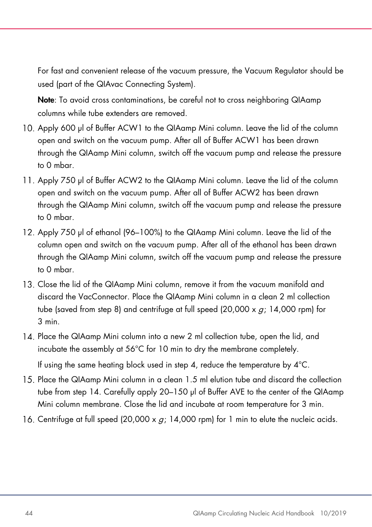For fast and convenient release of the vacuum pressure, the Vacuum Regulator should be used (part of the QIAvac Connecting System).

Note: To avoid cross contaminations, be careful not to cross neighboring QIAamp columns while tube extenders are removed.

- 10. Apply 600 ul of Buffer ACW1 to the QIAamp Mini column. Leave the lid of the column open and switch on the vacuum pump. After all of Buffer ACW1 has been drawn through the QIAamp Mini column, switch off the vacuum pump and release the pressure to 0 mbar.
- 11. Apply 750 µl of Buffer ACW2 to the QIAamp Mini column. Leave the lid of the column open and switch on the vacuum pump. After all of Buffer ACW2 has been drawn through the QIAamp Mini column, switch off the vacuum pump and release the pressure to 0 mbar.
- Apply 750 µl of ethanol (96–100%) to the QIAamp Mini column. Leave the lid of the column open and switch on the vacuum pump. After all of the ethanol has been drawn through the QIAamp Mini column, switch off the vacuum pump and release the pressure to 0 mbar.
- Close the lid of the QIAamp Mini column, remove it from the vacuum manifold and discard the VacConnector. Place the QIAamp Mini column in a clean 2 ml collection tube (saved from step 8) and centrifuge at full speed (20,000 x  $q$ ; 14,000 rpm) for 3 min.
- Place the QIAamp Mini column into a new 2 ml collection tube, open the lid, and incubate the assembly at 56°C for 10 min to dry the membrane completely.

If using the same heating block used in step 4, reduce the temperature by 4°C.

- Place the QIAamp Mini column in a clean 1.5 ml elution tube and discard the collection tube from step 14. Carefully apply 20–150 µl of Buffer AVE to the center of the QIAamp Mini column membrane. Close the lid and incubate at room temperature for 3 min.
- 16. Centrifuge at full speed  $(20,000 \times g; 14,000 \text{ rpm})$  for 1 min to elute the nucleic acids.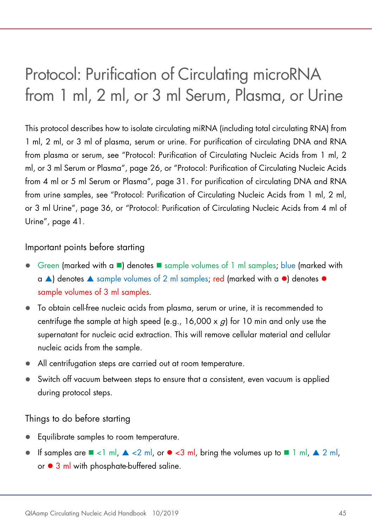### <span id="page-44-0"></span>Protocol: Purification of Circulating microRNA from 1 ml, 2 ml, or 3 ml Serum, Plasma, or Urine

This protocol describes how to isolate circulating miRNA (including total circulating RNA) from 1 ml, 2 ml, or 3 ml of plasma, serum or urine. For purification of circulating DNA and RNA from plasma or serum, see "Protocol: Purification of Circulating Nucleic Acids from 1 ml, 2 ml, or 3 ml Serum or Plasma", page [26,](#page-25-0) or "Protocol: Purification of Circulating Nucleic Acids from 4 ml or 5 ml Serum or Plasma", page [31.](#page-30-0) For purification of circulating DNA and RNA from urine samples, see "Protocol: Purification of Circulating Nucleic Acids from 1 ml, 2 ml, or 3 ml Urine", page [36,](#page-35-0) or "Protocol: Purification of Circulating Nucleic Acids from 4 ml of Urine", page [41.](#page-40-0)

#### Important points before starting

- Green (marked with a  $\blacksquare$ ) denotes  $\blacksquare$  sample volumes of 1 ml samples; blue (marked with  $\alpha$   $\triangle$  ) denotes  $\triangle$  sample volumes of 2 ml samples; red (marked with a  $\bullet$ ) denotes  $\bullet$ sample volumes of 3 ml samples.
- To obtain cell-free nucleic acids from plasma, serum or urine, it is recommended to centrifuge the sample at high speed (e.g.,  $16,000 \times a$ ) for 10 min and only use the supernatant for nucleic acid extraction. This will remove cellular material and cellular nucleic acids from the sample.
- All centrifugation steps are carried out at room temperature.
- Switch off vacuum between steps to ensure that a consistent, even vacuum is applied during protocol steps.

Things to do before starting

- Equilibrate samples to room temperature.
- If samples are  $\blacksquare$  <1 ml,  $\blacktriangle$  <2 ml, or  $\blacktriangleright$  <3 ml, bring the volumes up to  $\blacksquare$  1 ml,  $\blacktriangle$  2 ml, or  $\bullet$  3 ml with phosphate-buffered saline.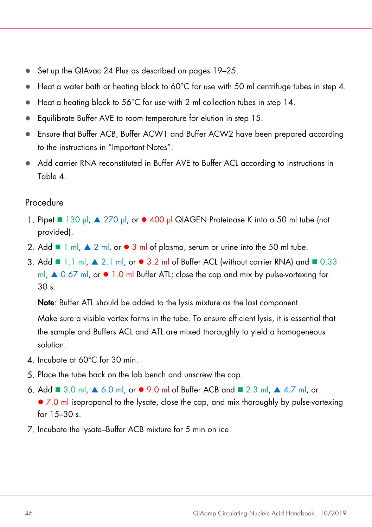- Set up the QIAvac 24 Plus as described on pages [19](#page-17-0)-25.
- Heat a water bath or heating block to 60°C for use with 50 ml centrifuge tubes in step 4.
- Heat a heating block to 56°C for use with 2 ml collection tubes in step 14.
- Equilibrate Buffer AVE to room temperature for elution in step 15.
- Ensure that Buffer ACB, Buffer ACW1 and Buffer ACW2 have been prepared according to the instructions in ["Important Notes"](#page-15-0).
- Add carrier RNA reconstituted in Buffer AVE to Buffer ACL according to instructions in [Table 4.](#page-36-0)

#### Procedure

- 1. Pipet 130 µl, ▲ 270 µl, or 400 µl QIAGEN Proteinase K into a 50 ml tube (not provided).
- 2. Add  $\blacksquare$  1 ml,  $\blacktriangle$  2 ml, or  $\blacktriangleright$  3 ml of plasma, serum or urine into the 50 ml tube.
- 3. Add  $\blacksquare$  1.1 ml,  $\blacktriangle$  2.1 ml, or  $\blacktriangle$  3.2 ml of Buffer ACL (without carrier RNA) and  $\blacksquare$  0.33 ml,  $\triangle$  0.67 ml, or  $\bullet$  1.0 ml Buffer ATL; close the cap and mix by pulse-vortexing for 30 s.

Note: Buffer ATL should be added to the lysis mixture as the last component.

Make sure a visible vortex forms in the tube. To ensure efficient lysis, it is essential that the sample and Buffers ACL and ATL are mixed thoroughly to yield a homogeneous solution.

- $\Delta$  Incubate at 60 $^{\circ}$ C for 30 min.
- 5. Place the tube back on the lab bench and unscrew the cap.
- 6. Add  $\blacksquare$  3.0 ml,  $\blacktriangle$  6.0 ml, or  $\blacktriangleright$  9.0 ml of Buffer ACB and  $\blacksquare$  2.3 ml,  $\blacktriangle$  4.7 ml, or • 7.0 ml isopropanol to the lysate, close the cap, and mix thoroughly by pulse-vortexing for 15–30 s.
- 7. Incubate the lysate–Buffer ACB mixture for 5 min on ice.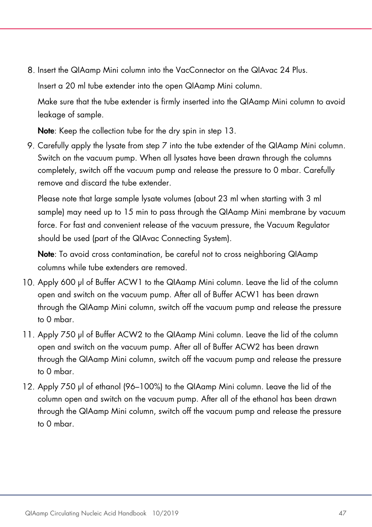8. Insert the QIAamp Mini column into the VacConnector on the QIAvac 24 Plus.

Insert a 20 ml tube extender into the open QIAamp Mini column.

Make sure that the tube extender is firmly inserted into the QIAamp Mini column to avoid leakage of sample.

Note: Keep the collection tube for the dry spin in step 13.

9. Carefully apply the lysate from step  $7$  into the tube extender of the QIAamp Mini column. Switch on the vacuum pump. When all lysates have been drawn through the columns completely, switch off the vacuum pump and release the pressure to 0 mbar. Carefully remove and discard the tube extender.

Please note that large sample lysate volumes (about 23 ml when starting with 3 ml sample) may need up to 15 min to pass through the QIAamp Mini membrane by vacuum force. For fast and convenient release of the vacuum pressure, the Vacuum Regulator should be used (part of the QIAvac Connecting System).

Note: To avoid cross contamination, be careful not to cross neighboring QIAamp columns while tube extenders are removed.

- Apply 600 µl of Buffer ACW1 to the QIAamp Mini column. Leave the lid of the column open and switch on the vacuum pump. After all of Buffer ACW1 has been drawn through the QIAamp Mini column, switch off the vacuum pump and release the pressure to 0 mbar.
- Apply 750 µl of Buffer ACW2 to the QIAamp Mini column. Leave the lid of the column open and switch on the vacuum pump. After all of Buffer ACW2 has been drawn through the QIAamp Mini column, switch off the vacuum pump and release the pressure to 0 mbar.
- 12. Apply 750 µl of ethanol (96–100%) to the QIAamp Mini column. Leave the lid of the column open and switch on the vacuum pump. After all of the ethanol has been drawn through the QIAamp Mini column, switch off the vacuum pump and release the pressure to 0 mbar.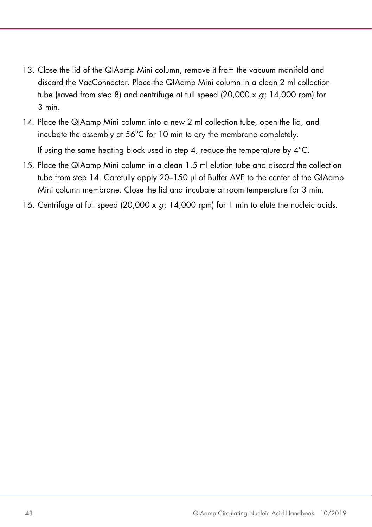- Close the lid of the QIAamp Mini column, remove it from the vacuum manifold and discard the VacConnector. Place the QIAamp Mini column in a clean 2 ml collection tube (saved from step 8) and centrifuge at full speed (20,000 x  $q$ ; 14,000 rpm) for 3 min.
- Place the QIAamp Mini column into a new 2 ml collection tube, open the lid, and incubate the assembly at 56°C for 10 min to dry the membrane completely.

If using the same heating block used in step 4, reduce the temperature by 4°C.

- Place the QIAamp Mini column in a clean 1.5 ml elution tube and discard the collection tube from step 14. Carefully apply 20–150 µl of Buffer AVE to the center of the QIAamp Mini column membrane. Close the lid and incubate at room temperature for 3 min.
- 16. Centrifuge at full speed (20,000 x  $q$ ; 14,000 rpm) for 1 min to elute the nucleic acids.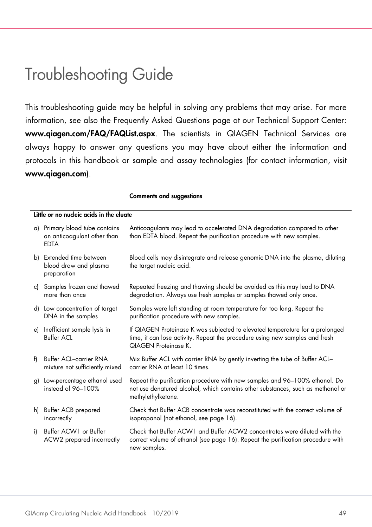### <span id="page-48-0"></span>Troubleshooting Guide

This troubleshooting guide may be helpful in solving any problems that may arise. For more information, see also the Frequently Asked Questions page at our Technical Support Center: www.qiagen.com/FAQ/FAQList.aspx. The scientists in QIAGEN Technical Services are always happy to answer any questions you may have about either the information and protocols in this handbook or sample and assay technologies (for contact information, visit www.qiagen.com).

|    | Little or no nucleic acids in the eluate                                     |                                                                                                                                                                                             |  |  |  |
|----|------------------------------------------------------------------------------|---------------------------------------------------------------------------------------------------------------------------------------------------------------------------------------------|--|--|--|
|    | a) Primary blood tube contains<br>an anticoagulant other than<br><b>EDTA</b> | Anticoagulants may lead to accelerated DNA degradation compared to other<br>than EDTA blood. Repeat the purification procedure with new samples.                                            |  |  |  |
|    | b) Extended time between<br>blood draw and plasma<br>preparation             | Blood cells may disintegrate and release genomic DNA into the plasma, diluting<br>the target nucleic acid.                                                                                  |  |  |  |
|    | c) Samples frozen and thawed<br>more than once                               | Repeated freezing and thawing should be avoided as this may lead to DNA<br>degradation. Always use fresh samples or samples thawed only once.                                               |  |  |  |
|    | d) Low concentration of target<br>DNA in the samples                         | Samples were left standing at room temperature for too long. Repeat the<br>purification procedure with new samples.                                                                         |  |  |  |
| e) | Inefficient sample lysis in<br><b>Buffer ACL</b>                             | If QIAGEN Proteinase K was subjected to elevated temperature for a prolonged<br>time, it can lose activity. Repeat the procedure using new samples and fresh<br><b>QIAGEN Proteinase K.</b> |  |  |  |
| f) | <b>Buffer ACL-carrier RNA</b><br>mixture not sufficiently mixed              | Mix Buffer ACL with carrier RNA by gently inverting the tube of Buffer ACL-<br>carrier RNA at least 10 times.                                                                               |  |  |  |
| g) | Low-percentage ethanol used<br>instead of 96-100%                            | Repeat the purification procedure with new samples and 96-100% ethanol. Do<br>not use denatured alcohol, which contains other substances, such as methanol or<br>methylethylketone.         |  |  |  |
|    | h) Buffer ACB prepared<br>incorrectly                                        | Check that Buffer ACB concentrate was reconstituted with the correct volume of<br>isopropanol (not ethanol, see page 16).                                                                   |  |  |  |
| i) | Buffer ACW1 or Buffer<br>ACW2 prepared incorrectly                           | Check that Buffer ACW1 and Buffer ACW2 concentrates were diluted with the<br>correct volume of ethanol (see page 16). Repeat the purification procedure with<br>new samples.                |  |  |  |

#### Comments and suggestions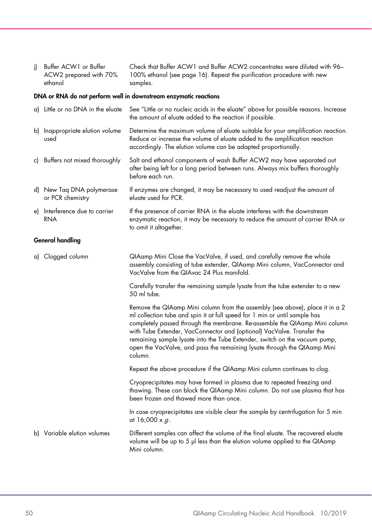| j) Buffer ACW1 or Buffer | Check that Buffer ACW1 and Buffer ACW2 concentrates were diluted with 96- |
|--------------------------|---------------------------------------------------------------------------|
| ACW2 prepared with 70%   | 100% ethanol (see page 16). Repeat the purification procedure with new    |
| ethanol                  | samples.                                                                  |

#### DNA or RNA do not perform well in downstream enzymatic reactions

| a) Little or no DNA in the eluate             | See "Little or no nucleic acids in the eluate" above for possible reasons. Increase<br>the amount of eluate added to the reaction if possible.                                                                                                                                                                                                                                                                                                                                          |  |  |  |  |  |
|-----------------------------------------------|-----------------------------------------------------------------------------------------------------------------------------------------------------------------------------------------------------------------------------------------------------------------------------------------------------------------------------------------------------------------------------------------------------------------------------------------------------------------------------------------|--|--|--|--|--|
| b) Inappropriate elution volume<br>used       | Determine the maximum volume of eluate suitable for your amplification reaction.<br>Reduce or increase the volume of eluate added to the amplification reaction<br>accordingly. The elution volume can be adapted proportionally.                                                                                                                                                                                                                                                       |  |  |  |  |  |
| c) Buffers not mixed thoroughly               | Salt and ethanol components of wash Buffer ACW2 may have separated out<br>after being left for a long period between runs. Always mix buffers thoroughly<br>before each run.                                                                                                                                                                                                                                                                                                            |  |  |  |  |  |
| d) New Taq DNA polymerase<br>or PCR chemistry | If enzymes are changed, it may be necessary to used readjust the amount of<br>eluate used for PCR.                                                                                                                                                                                                                                                                                                                                                                                      |  |  |  |  |  |
| e) Interference due to carrier<br><b>RNA</b>  | If the presence of carrier RNA in the eluate interferes with the downstream<br>enzymatic reaction, it may be necessary to reduce the amount of carrier RNA or<br>to omit it altogether.                                                                                                                                                                                                                                                                                                 |  |  |  |  |  |
| <b>General handling</b>                       |                                                                                                                                                                                                                                                                                                                                                                                                                                                                                         |  |  |  |  |  |
| a) Clogged column                             | QIAamp Mini Close the VacValve, if used, and carefully remove the whole<br>assembly consisting of tube extender, QIAamp Mini column, VacConnector and<br>VacValve from the QIAvac 24 Plus manifold.                                                                                                                                                                                                                                                                                     |  |  |  |  |  |
|                                               | Carefully transfer the remaining sample lysate from the tube extender to a new<br>50 ml tube.                                                                                                                                                                                                                                                                                                                                                                                           |  |  |  |  |  |
|                                               | Remove the QIAamp Mini column from the assembly (see above), place it in a 2<br>ml collection tube and spin it at full speed for 1 min or until sample has<br>completely passed through the membrane. Re-assemble the QIAamp Mini column<br>with Tube Extender, VacConnector and (optional) VacValve. Transfer the<br>remaining sample lysate into the Tube Extender, switch on the vacuum pump,<br>open the VacValve, and pass the remaining lysate through the QIAamp Mini<br>column. |  |  |  |  |  |
|                                               | Repeat the above procedure if the QIAamp Mini column continues to clog.                                                                                                                                                                                                                                                                                                                                                                                                                 |  |  |  |  |  |
|                                               | Cryoprecipitates may have formed in plasma due to repeated freezing and<br>thawing. These can block the QIAamp Mini column. Do not use plasma that has<br>been frozen and thawed more than once.                                                                                                                                                                                                                                                                                        |  |  |  |  |  |
|                                               | In case cryoprecipitates are visible clear the sample by centrifugation for 5 min<br>at 16,000 x $g$ .                                                                                                                                                                                                                                                                                                                                                                                  |  |  |  |  |  |
| b) Variable elution volumes                   | Different samples can affect the volume of the final eluate. The recovered eluate<br>volume will be up to 5 µl less than the elution volume applied to the QIAamp<br>Mini column.                                                                                                                                                                                                                                                                                                       |  |  |  |  |  |
|                                               |                                                                                                                                                                                                                                                                                                                                                                                                                                                                                         |  |  |  |  |  |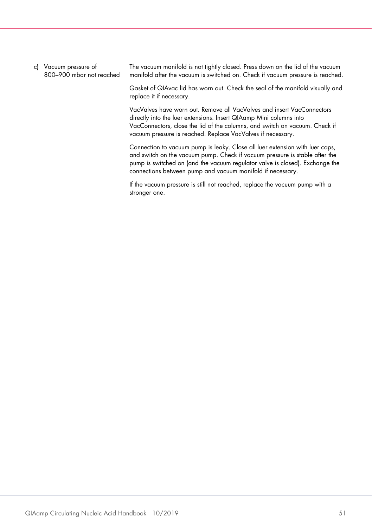c) Vacuum pressure of 800–900 mbar not reached The vacuum manifold is not tightly closed. Press down on the lid of the vacuum manifold after the vacuum is switched on. Check if vacuum pressure is reached.

Gasket of QIAvac lid has worn out. Check the seal of the manifold visually and replace it if necessary.

VacValves have worn out. Remove all VacValves and insert VacConnectors directly into the luer extensions. Insert QIAamp Mini columns into VacConnectors, close the lid of the columns, and switch on vacuum. Check if vacuum pressure is reached. Replace VacValves if necessary.

Connection to vacuum pump is leaky. Close all luer extension with luer caps, and switch on the vacuum pump. Check if vacuum pressure is stable after the pump is switched on (and the vacuum regulator valve is closed). Exchange the connections between pump and vacuum manifold if necessary.

If the vacuum pressure is still not reached, replace the vacuum pump with a stronger one.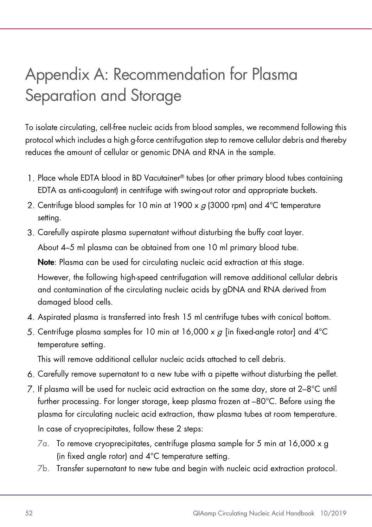### <span id="page-51-0"></span>Appendix A: Recommendation for Plasma Separation and Storage

To isolate circulating, cell-free nucleic acids from blood samples, we recommend following this protocol which includes a high g-force centrifugation step to remove cellular debris and thereby reduces the amount of cellular or genomic DNA and RNA in the sample.

- Place whole EDTA blood in BD Vacutainer® tubes (or other primary blood tubes containing EDTA as anti-coagulant) in centrifuge with swing-out rotor and appropriate buckets.
- 2. Centrifuge blood samples for 10 min at 1900 x  $g$  (3000 rpm) and  $4^{\circ}$ C temperature setting.
- Carefully aspirate plasma supernatant without disturbing the buffy coat layer. About 4–5 ml plasma can be obtained from one 10 ml primary blood tube.

Note: Plasma can be used for circulating nucleic acid extraction at this stage. However, the following high-speed centrifugation will remove additional cellular debris and contamination of the circulating nucleic acids by gDNA and RNA derived from damaged blood cells.

- Aspirated plasma is transferred into fresh 15 ml centrifuge tubes with conical bottom.
- 5. Centrifuge plasma samples for 10 min at 16,000 x  $\sigma$  [in fixed-angle rotor] and 4°C temperature setting.

This will remove additional cellular nucleic acids attached to cell debris.

- Carefully remove supernatant to a new tube with a pipette without disturbing the pellet.
- $Z$ . If plasma will be used for nucleic acid extraction on the same day, store at  $2-8^{\circ}$ C until further processing. For longer storage, keep plasma frozen at –80°C. Before using the plasma for circulating nucleic acid extraction, thaw plasma tubes at room temperature. In case of cryoprecipitates, follow these 2 steps:
	- 7a. To remove cryoprecipitates, centrifuge plasma sample for 5 min at 16,000 x g (in fixed angle rotor) and 4°C temperature setting.
	- 7b. Transfer supernatant to new tube and begin with nucleic acid extraction protocol.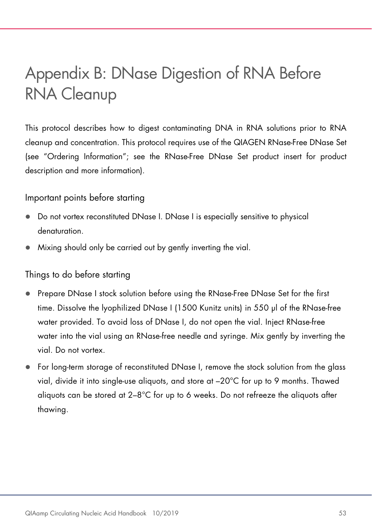### <span id="page-52-0"></span>Appendix B: DNase Digestion of RNA Before RNA Cleanup

This protocol describes how to digest contaminating DNA in RNA solutions prior to RNA cleanup and concentration. This protocol requires use of the QIAGEN RNase-Free DNase Set (see ["Ordering Information"](#page-59-0); see the RNase-Free DNase Set product insert for product description and more information).

#### Important points before starting

- Do not vortex reconstituted DNase I. DNase I is especially sensitive to physical denaturation.
- Mixing should only be carried out by gently inverting the vial.

#### Things to do before starting

- Prepare DNase I stock solution before using the RNase-Free DNase Set for the first time. Dissolve the lyophilized DNase I (1500 Kunitz units) in 550 µl of the RNase-free water provided. To avoid loss of DNase I, do not open the vial. Inject RNase-free water into the vial using an RNase-free needle and syringe. Mix gently by inverting the vial. Do not vortex.
- For long-term storage of reconstituted DNase I, remove the stock solution from the glass vial, divide it into single-use aliquots, and store at –20°C for up to 9 months. Thawed aliquots can be stored at 2–8°C for up to 6 weeks. Do not refreeze the aliquots after thawing.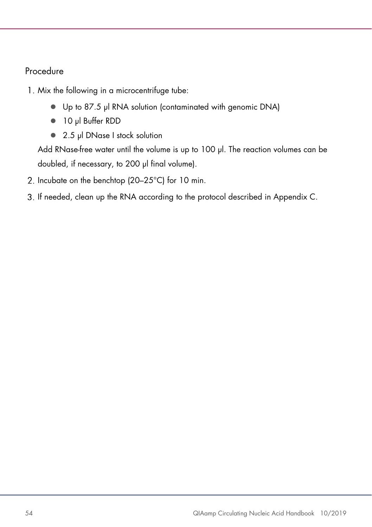#### Procedure

- 1. Mix the following in a microcentrifuge tube:
	- Up to 87.5 µl RNA solution (contaminated with genomic DNA)
	- 10 µl Buffer RDD
	- 2.5 µl DNase I stock solution

Add RNase-free water until the volume is up to 100 µl. The reaction volumes can be doubled, if necessary, to 200 µl final volume).

- 2. Incubate on the benchtop (20–25°C) for 10 min.
- If needed, clean up the RNA according to the protocol described in Appendix C.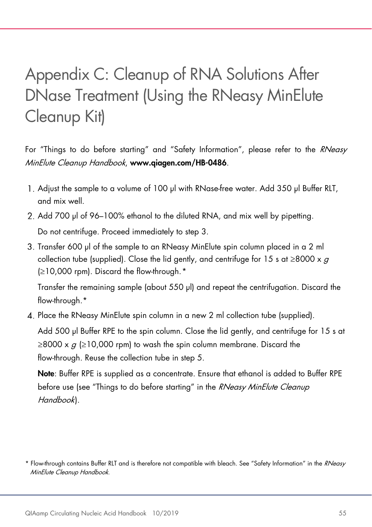### <span id="page-54-0"></span>Appendix C: Cleanup of RNA Solutions After DNase Treatment (Using the RNeasy MinElute Cleanup Kit)

For "Things to do before starting" and "Safety Information", please refer to the RNeasy MinElute Cleanup Handbook, www.qiagen.com/HB-0486.

- 1. Adjust the sample to a volume of 100 µl with RNase-free water. Add 350 µl Buffer RLT, and mix well.
- 2. Add 700 µl of 96–100% ethanol to the diluted RNA, and mix well by pipetting. Do not centrifuge. Proceed immediately to step 3.
- 3. Transfer 600 µl of the sample to an RNeasy MinElute spin column placed in a 2 ml collection tube (supplied). Close the lid gently, and centrifuge for 15 s at  $\geq$ 8000 x g (≥10,000 rpm). Discard the flow-through.[\\*](#page-54-1)

Transfer the remaining sample (about 550 µl) and repeat the centrifugation. Discard the flow-through.\*

Place the RNeasy MinElute spin column in a new 2 ml collection tube (supplied).

Add 500 µl Buffer RPE to the spin column. Close the lid gently, and centrifuge for 15 s at  $\geq$ 8000 x  $q$  ( $\geq$ 10,000 rpm) to wash the spin column membrane. Discard the flow-through. Reuse the collection tube in step 5.

Note: Buffer RPE is supplied as a concentrate. Ensure that ethanol is added to Buffer RPE before use (see "Things to do before starting" in the RNeasy MinElute Cleanup Handbook).

<span id="page-54-1"></span><sup>\*</sup> Flow-through contains Buffer RLT and is therefore not compatible with bleach. See "Safety Information" in the RNeasy MinElute Cleanup Handbook.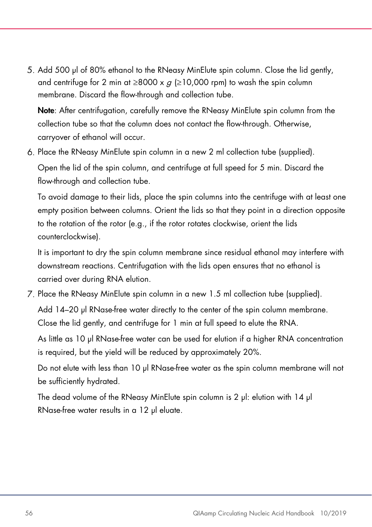5. Add 500 µl of 80% ethanol to the RNeasy MinElute spin column. Close the lid gently, and centrifuge for 2 min at  $\geq 8000 \times a$  ( $\geq 10,000$  rpm) to wash the spin column membrane. Discard the flow-through and collection tube.

Note: After centrifugation, carefully remove the RNeasy MinElute spin column from the collection tube so that the column does not contact the flow-through. Otherwise, carryover of ethanol will occur.

Place the RNeasy MinElute spin column in a new 2 ml collection tube (supplied).

Open the lid of the spin column, and centrifuge at full speed for 5 min. Discard the flow-through and collection tube.

To avoid damage to their lids, place the spin columns into the centrifuge with at least one empty position between columns. Orient the lids so that they point in a direction opposite to the rotation of the rotor (e.g., if the rotor rotates clockwise, orient the lids counterclockwise).

It is important to dry the spin column membrane since residual ethanol may interfere with downstream reactions. Centrifugation with the lids open ensures that no ethanol is carried over during RNA elution.

Place the RNeasy MinElute spin column in a new 1.5 ml collection tube (supplied).

Add 14–20 µl RNase-free water directly to the center of the spin column membrane. Close the lid gently, and centrifuge for 1 min at full speed to elute the RNA.

As little as 10 µl RNase-free water can be used for elution if a higher RNA concentration is required, but the yield will be reduced by approximately 20%.

Do not elute with less than 10 µl RNase-free water as the spin column membrane will not be sufficiently hydrated.

The dead volume of the RNeasy MinElute spin column is 2 ul: elution with 14 ul RNase-free water results in a 12 µl eluate.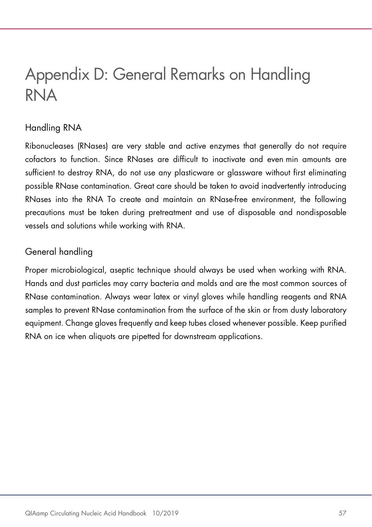### <span id="page-56-0"></span>Appendix D: General Remarks on Handling RNA

#### Handling RNA

Ribonucleases (RNases) are very stable and active enzymes that generally do not require cofactors to function. Since RNases are difficult to inactivate and even min amounts are sufficient to destroy RNA, do not use any plasticware or glassware without first eliminating possible RNase contamination. Great care should be taken to avoid inadvertently introducing RNases into the RNA To create and maintain an RNase-free environment, the following precautions must be taken during pretreatment and use of disposable and nondisposable vessels and solutions while working with RNA.

#### General handling

Proper microbiological, aseptic technique should always be used when working with RNA. Hands and dust particles may carry bacteria and molds and are the most common sources of RNase contamination. Always wear latex or vinyl gloves while handling reagents and RNA samples to prevent RNase contamination from the surface of the skin or from dusty laboratory equipment. Change gloves frequently and keep tubes closed whenever possible. Keep purified RNA on ice when aliquots are pipetted for downstream applications.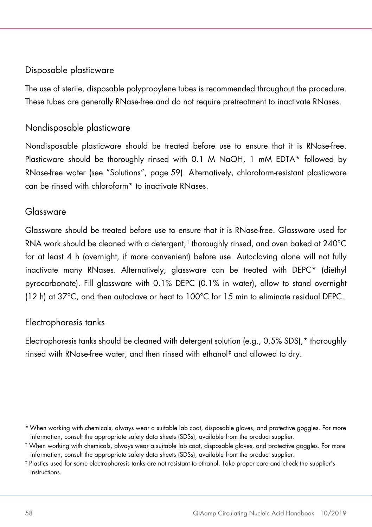#### <span id="page-57-0"></span>Disposable plasticware

The use of sterile, disposable polypropylene tubes is recommended throughout the procedure. These tubes are generally RNase-free and do not require pretreatment to inactivate RNases.

#### Nondisposable plasticware

Nondisposable plasticware should be treated before use to ensure that it is RNase-free. Plasticware should be thoroughly rinsed with 0.1 M NaOH, 1 mM EDTA[\\*](#page-57-1) followed by RNase-free water (see "Solutions", page [59\)](#page-57-0). Alternatively, chloroform-resistant plasticware can be rinsed with chloroform\* to inactivate RNases.

#### Glassware

Glassware should be treated before use to ensure that it is RNase-free. Glassware used for RNA work should be cleaned with a detergent,[†](#page-57-2) thoroughly rinsed, and oven baked at 240°C for at least 4 h (overnight, if more convenient) before use. Autoclaving alone will not fully inactivate many RNases. Alternatively, glassware can be treated with DEPC\* (diethyl pyrocarbonate). Fill glassware with 0.1% DEPC (0.1% in water), allow to stand overnight (12 h) at 37°C, and then autoclave or heat to 100°C for 15 min to eliminate residual DEPC.

#### Electrophoresis tanks

Electrophoresis tanks should be cleaned with detergent solution (e.g., 0.5% SDS),\* thoroughly rinsed with RNase-free water, and then rinsed with ethanol[‡](#page-57-3) and allowed to dry.

<span id="page-57-1"></span><sup>\*</sup>When working with chemicals, always wear a suitable lab coat, disposable gloves, and protective goggles. For more information, consult the appropriate safety data sheets (SDSs), available from the product supplier.

<span id="page-57-2"></span><sup>†</sup> When working with chemicals, always wear a suitable lab coat, disposable gloves, and protective goggles. For more information, consult the appropriate safety data sheets (SDSs), available from the product supplier.

<span id="page-57-3"></span><sup>‡</sup> Plastics used for some electrophoresis tanks are not resistant to ethanol. Take proper care and check the supplier's instructions.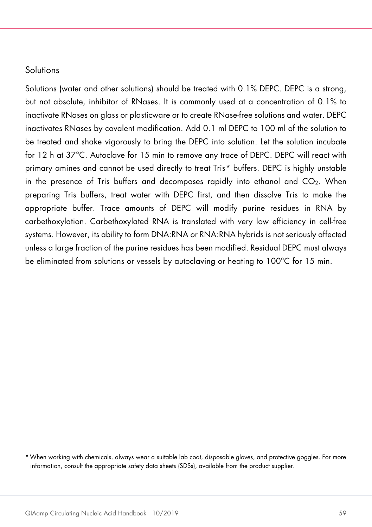#### **Solutions**

Solutions (water and other solutions) should be treated with 0.1% DEPC. DEPC is a strong, but not absolute, inhibitor of RNases. It is commonly used at a concentration of 0.1% to inactivate RNases on glass or plasticware or to create RNase-free solutions and water. DEPC inactivates RNases by covalent modification. Add 0.1 ml DEPC to 100 ml of the solution to be treated and shake vigorously to bring the DEPC into solution. Let the solution incubate for 12 h at 37°C. Autoclave for 15 min to remove any trace of DEPC. DEPC will react with primary amines and cannot be used directly to treat Tris[\\*](#page-58-0) buffers. DEPC is highly unstable in the presence of Tris buffers and decomposes rapidly into ethanol and  $CO<sub>2</sub>$ . When preparing Tris buffers, treat water with DEPC first, and then dissolve Tris to make the appropriate buffer. Trace amounts of DEPC will modify purine residues in RNA by carbethoxylation. Carbethoxylated RNA is translated with very low efficiency in cell-free systems. However, its ability to form DNA:RNA or RNA:RNA hybrids is not seriously affected unless a large fraction of the purine residues has been modified. Residual DEPC must always be eliminated from solutions or vessels by autoclaving or heating to 100°C for 15 min.

<span id="page-58-0"></span><sup>\*</sup>When working with chemicals, always wear a suitable lab coat, disposable gloves, and protective goggles. For more information, consult the appropriate safety data sheets (SDSs), available from the product supplier.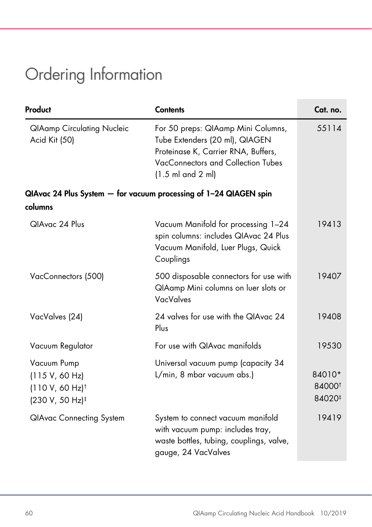### <span id="page-59-0"></span>Ordering Information

| Product                                                                                       | <b>Contents</b>                                                                                                                                                                           | Cat. no.                               |
|-----------------------------------------------------------------------------------------------|-------------------------------------------------------------------------------------------------------------------------------------------------------------------------------------------|----------------------------------------|
| <b>QIAamp Circulating Nucleic</b><br>Acid Kit (50)                                            | For 50 preps: QIAamp Mini Columns,<br>Tube Extenders (20 ml), QIAGEN<br>Proteinase K, Carrier RNA, Buffers,<br>VacConnectors and Collection Tubes<br>$(1.5 \text{ ml}$ and $2 \text{ ml}$ | 55114                                  |
|                                                                                               | QIAvac 24 Plus System - for vacuum processing of 1-24 QIAGEN spin                                                                                                                         |                                        |
| columns                                                                                       |                                                                                                                                                                                           |                                        |
| QIAvac 24 Plus                                                                                | Vacuum Manifold for processing 1-24<br>spin columns: includes QIAvac 24 Plus<br>Vacuum Manifold, Luer Plugs, Quick<br>Couplings                                                           | 19413                                  |
| VacConnectors (500)                                                                           | 500 disposable connectors for use with<br>QIAamp Mini columns on luer slots or<br><b>VacValves</b>                                                                                        | 19407                                  |
| VacValves (24)                                                                                | 24 valves for use with the QIAvac 24<br>Plus                                                                                                                                              | 19408                                  |
| Vacuum Regulator                                                                              | For use with QIAvac manifolds                                                                                                                                                             | 19530                                  |
| Vacuum Pump<br>(115 V, 60 Hz)<br>$(110 V, 60 Hz)$ <sup>†</sup><br>(230 V, 50 Hz) <sup>‡</sup> | Universal vacuum pump (capacity 34<br>L/min, 8 mbar vacuum abs.)                                                                                                                          | 84010*<br>84000 <sup>t</sup><br>84020# |
| <b>QIAvac Connecting System</b>                                                               | System to connect vacuum manifold<br>with vacuum pump: includes tray,<br>waste bottles, tubing, couplings, valve,<br>gauge, 24 VacValves                                                  | 19419                                  |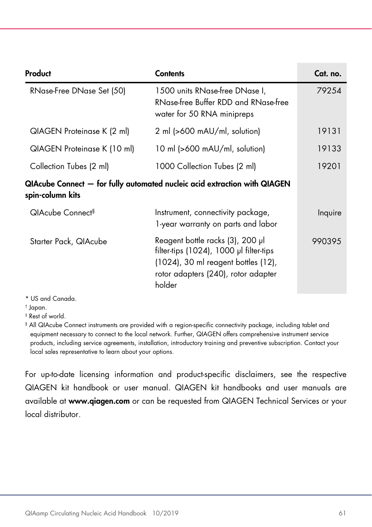| Product                                                                                       | <b>Contents</b>                                                                                                                                                     | Cat. no. |  |  |
|-----------------------------------------------------------------------------------------------|---------------------------------------------------------------------------------------------------------------------------------------------------------------------|----------|--|--|
| RNase-Free DNase Set (50)                                                                     | 1500 units RNase-free DNase I,<br>RNase-free Buffer RDD and RNase-free<br>water for 50 RNA minipreps                                                                | 79254    |  |  |
| QIAGEN Proteinase K (2 ml)                                                                    | 2 ml (>600 mAU/ml, solution)                                                                                                                                        | 19131    |  |  |
| QIAGEN Proteinase K (10 ml)                                                                   | 10 ml $\left  >600 \right $ mAU/ml, solution                                                                                                                        | 19133    |  |  |
| Collection Tubes (2 ml)                                                                       | 1000 Collection Tubes (2 ml)                                                                                                                                        | 19201    |  |  |
| QIAcube Connect — for fully automated nucleic acid extraction with QIAGEN<br>spin-column kits |                                                                                                                                                                     |          |  |  |
| QIAcube Connect <sup>§</sup>                                                                  | Instrument, connectivity package,<br>1-year warranty on parts and labor                                                                                             | Inquire  |  |  |
| Starter Pack, QIAcube                                                                         | Reagent bottle racks (3), 200 µl<br>filter-tips (1024), 1000 µl filter-tips<br>(1024), 30 ml reagent bottles (12),<br>rotor adapters (240), rotor adapter<br>holder | 990395   |  |  |

\* US and Canada.

† Japan.

‡ Rest of world.

§ All QIAcube Connect instruments are provided with a region-specific connectivity package, including tablet and equipment necessary to connect to the local network. Further, QIAGEN offers comprehensive instrument service products, including service agreements, installation, introductory training and preventive subscription. Contact your local sales representative to learn about your options.

For up-to-date licensing information and product-specific disclaimers, see the respective QIAGEN kit handbook or user manual. QIAGEN kit handbooks and user manuals are available at www.qiagen.com or can be requested from QIAGEN Technical Services or your local distributor.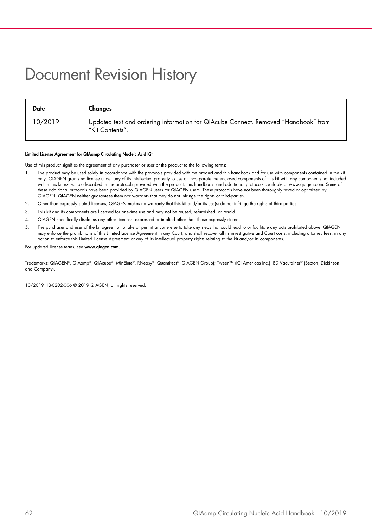### <span id="page-61-0"></span>Document Revision History

| Date    | Changes                                                                                               |
|---------|-------------------------------------------------------------------------------------------------------|
| 10/2019 | Updated text and ordering information for QIAcube Connect. Removed "Handbook" from<br>"Kit Contents". |

#### Limited License Agreement for QIAamp Circulating Nucleic Acid Kit

Use of this product signifies the agreement of any purchaser or user of the product to the following terms:

- 1. The product may be used solely in accordance with the protocols provided with the product and this handbook and for use with components contained in the kit only. QIAGEN grants no license under any of its intellectual property to use or incorporate the enclosed components of this kit with any components not included within this kit except as described in the protocols provided with the product, this handbook, and additional protocols available at www.qiagen.com. Some of these additional protocols have been provided by QIAGEN users for QIAGEN users. These protocols have not been thoroughly tested or optimized by QIAGEN. QIAGEN neither guarantees them nor warrants that they do not infringe the rights of third-parties.
- 2. Other than expressly stated licenses, QIAGEN makes no warranty that this kit and/or its use(s) do not infringe the rights of third-parties.
- 3. This kit and its components are licensed for one-time use and may not be reused, refurbished, or resold.
- 4. QIAGEN specifically disclaims any other licenses, expressed or implied other than those expressly stated.
- 5. The purchaser and user of the kit agree not to take or permit anyone else to take any steps that could lead to or facilitate any acts prohibited above. QIAGEN may enforce the prohibitions of this Limited License Agreement in any Court, and shall recover all its investigative and Court costs, including attorney fees, in any action to enforce this Limited License Agreement or any of its intellectual property rights relating to the kit and/or its components.

For updated license terms, see www.aiagen.com.

Trademarks: QIAGEN®, QIAamp®, QIAcube®, MinElute®, RNeasy®, Quantitect® (QIAGEN Group); Tween™ (ICI Americas Inc.); BD Vacutainer® (Becton, Dickinson and Company).

10/2019 HB-0202-006 © 2019 QIAGEN, all rights reserved.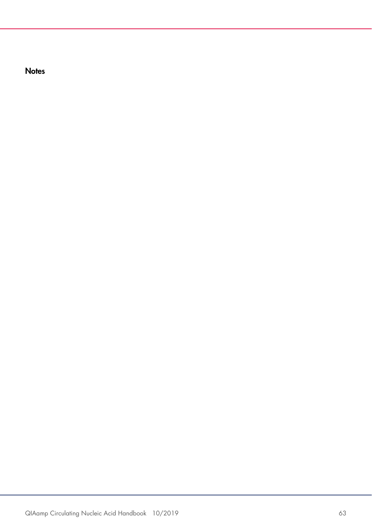**Notes**